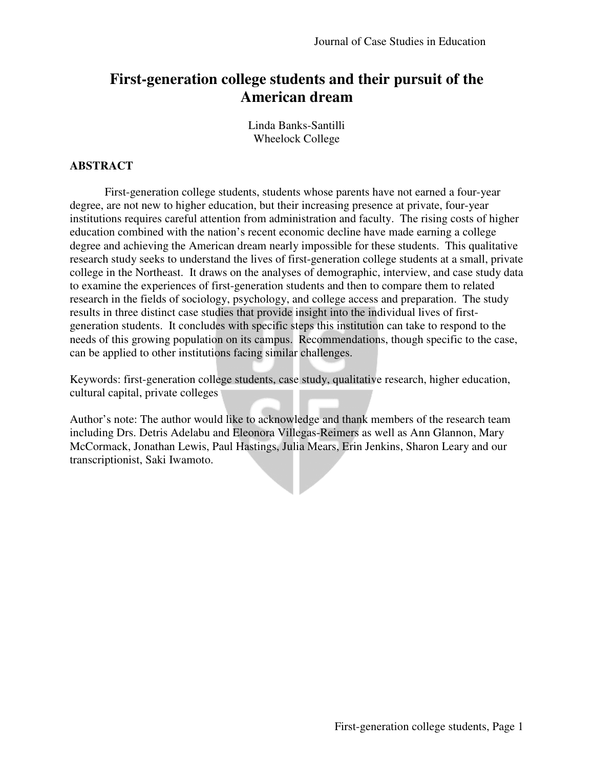# **First-generation college students and their pursuit of the American dream**

Linda Banks-Santilli Wheelock College

### **ABSTRACT**

First-generation college students, students whose parents have not earned a four-year degree, are not new to higher education, but their increasing presence at private, four-year institutions requires careful attention from administration and faculty. The rising costs of higher education combined with the nation's recent economic decline have made earning a college degree and achieving the American dream nearly impossible for these students. This qualitative research study seeks to understand the lives of first-generation college students at a small, private college in the Northeast. It draws on the analyses of demographic, interview, and case study data to examine the experiences of first-generation students and then to compare them to related research in the fields of sociology, psychology, and college access and preparation. The study results in three distinct case studies that provide insight into the individual lives of firstgeneration students. It concludes with specific steps this institution can take to respond to the needs of this growing population on its campus. Recommendations, though specific to the case, can be applied to other institutions facing similar challenges.

Keywords: first-generation college students, case study, qualitative research, higher education, cultural capital, private colleges

Author's note: The author would like to acknowledge and thank members of the research team including Drs. Detris Adelabu and Eleonora Villegas-Reimers as well as Ann Glannon, Mary McCormack, Jonathan Lewis, Paul Hastings, Julia Mears, Erin Jenkins, Sharon Leary and our transcriptionist, Saki Iwamoto.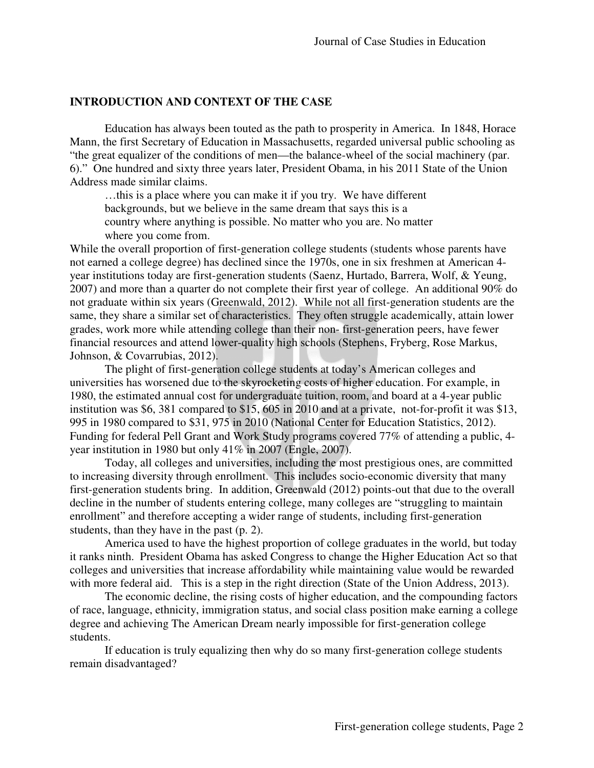### **INTRODUCTION AND CONTEXT OF THE CASE**

Education has always been touted as the path to prosperity in America. In 1848, Horace Mann, the first Secretary of Education in Massachusetts, regarded universal public schooling as "the great equalizer of the conditions of men—the balance-wheel of the social machinery (par. 6)." One hundred and sixty three years later, President Obama, in his 2011 State of the Union Address made similar claims.

 …this is a place where you can make it if you try. We have different backgrounds, but we believe in the same dream that says this is a country where anything is possible. No matter who you are. No matter where you come from.

While the overall proportion of first-generation college students (students whose parents have not earned a college degree) has declined since the 1970s, one in six freshmen at American 4 year institutions today are first-generation students (Saenz, Hurtado, Barrera, Wolf, & Yeung, 2007) and more than a quarter do not complete their first year of college. An additional 90% do not graduate within six years (Greenwald, 2012). While not all first-generation students are the same, they share a similar set of characteristics. They often struggle academically, attain lower grades, work more while attending college than their non- first-generation peers, have fewer financial resources and attend lower-quality high schools (Stephens, Fryberg, Rose Markus, Johnson, & Covarrubias, 2012).

The plight of first-generation college students at today's American colleges and universities has worsened due to the skyrocketing costs of higher education. For example, in 1980, the estimated annual cost for undergraduate tuition, room, and board at a 4-year public institution was \$6, 381 compared to \$15, 605 in 2010 and at a private, not-for-profit it was \$13, 995 in 1980 compared to \$31, 975 in 2010 (National Center for Education Statistics, 2012). Funding for federal Pell Grant and Work Study programs covered 77% of attending a public, 4 year institution in 1980 but only 41% in 2007 (Engle, 2007).

Today, all colleges and universities, including the most prestigious ones, are committed to increasing diversity through enrollment. This includes socio-economic diversity that many first-generation students bring. In addition, Greenwald (2012) points-out that due to the overall decline in the number of students entering college, many colleges are "struggling to maintain enrollment" and therefore accepting a wider range of students, including first-generation students, than they have in the past (p. 2).

America used to have the highest proportion of college graduates in the world, but today it ranks ninth. President Obama has asked Congress to change the Higher Education Act so that colleges and universities that increase affordability while maintaining value would be rewarded with more federal aid. This is a step in the right direction (State of the Union Address, 2013).

The economic decline, the rising costs of higher education, and the compounding factors of race, language, ethnicity, immigration status, and social class position make earning a college degree and achieving The American Dream nearly impossible for first-generation college students.

If education is truly equalizing then why do so many first-generation college students remain disadvantaged?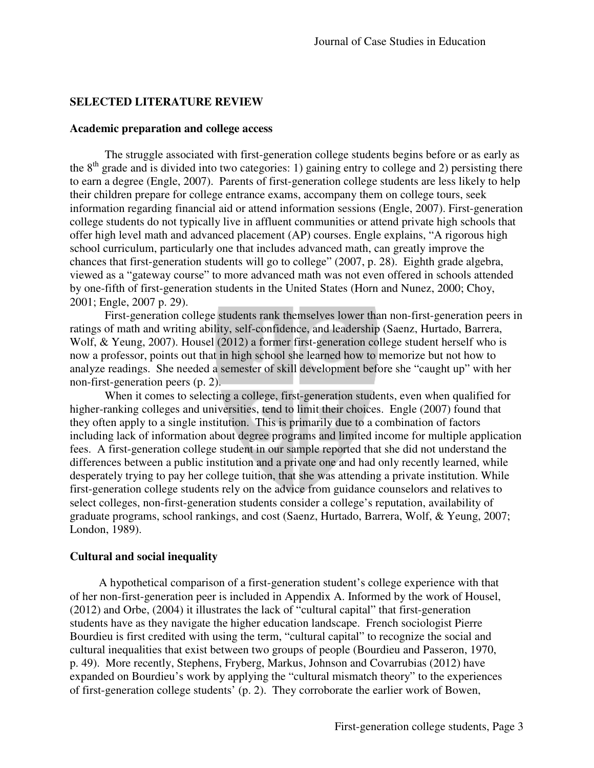### **SELECTED LITERATURE REVIEW**

#### **Academic preparation and college access**

The struggle associated with first-generation college students begins before or as early as the  $8<sup>th</sup>$  grade and is divided into two categories: 1) gaining entry to college and 2) persisting there to earn a degree (Engle, 2007). Parents of first-generation college students are less likely to help their children prepare for college entrance exams, accompany them on college tours, seek information regarding financial aid or attend information sessions (Engle, 2007). First-generation college students do not typically live in affluent communities or attend private high schools that offer high level math and advanced placement (AP) courses. Engle explains, "A rigorous high school curriculum, particularly one that includes advanced math, can greatly improve the chances that first-generation students will go to college" (2007, p. 28). Eighth grade algebra, viewed as a "gateway course" to more advanced math was not even offered in schools attended by one-fifth of first-generation students in the United States (Horn and Nunez, 2000; Choy, 2001; Engle, 2007 p. 29).

First-generation college students rank themselves lower than non-first-generation peers in ratings of math and writing ability, self-confidence, and leadership (Saenz, Hurtado, Barrera, Wolf, & Yeung, 2007). Housel (2012) a former first-generation college student herself who is now a professor, points out that in high school she learned how to memorize but not how to analyze readings. She needed a semester of skill development before she "caught up" with her non-first-generation peers (p. 2).

When it comes to selecting a college, first-generation students, even when qualified for higher-ranking colleges and universities, tend to limit their choices. Engle (2007) found that they often apply to a single institution. This is primarily due to a combination of factors including lack of information about degree programs and limited income for multiple application fees. A first-generation college student in our sample reported that she did not understand the differences between a public institution and a private one and had only recently learned, while desperately trying to pay her college tuition, that she was attending a private institution. While first-generation college students rely on the advice from guidance counselors and relatives to select colleges, non-first-generation students consider a college's reputation, availability of graduate programs, school rankings, and cost (Saenz, Hurtado, Barrera, Wolf, & Yeung, 2007; London, 1989).

#### **Cultural and social inequality**

 A hypothetical comparison of a first-generation student's college experience with that of her non-first-generation peer is included in Appendix A. Informed by the work of Housel, (2012) and Orbe, (2004) it illustrates the lack of "cultural capital" that first-generation students have as they navigate the higher education landscape. French sociologist Pierre Bourdieu is first credited with using the term, "cultural capital" to recognize the social and cultural inequalities that exist between two groups of people (Bourdieu and Passeron, 1970, p. 49). More recently, Stephens, Fryberg, Markus, Johnson and Covarrubias (2012) have expanded on Bourdieu's work by applying the "cultural mismatch theory" to the experiences of first-generation college students' (p. 2). They corroborate the earlier work of Bowen,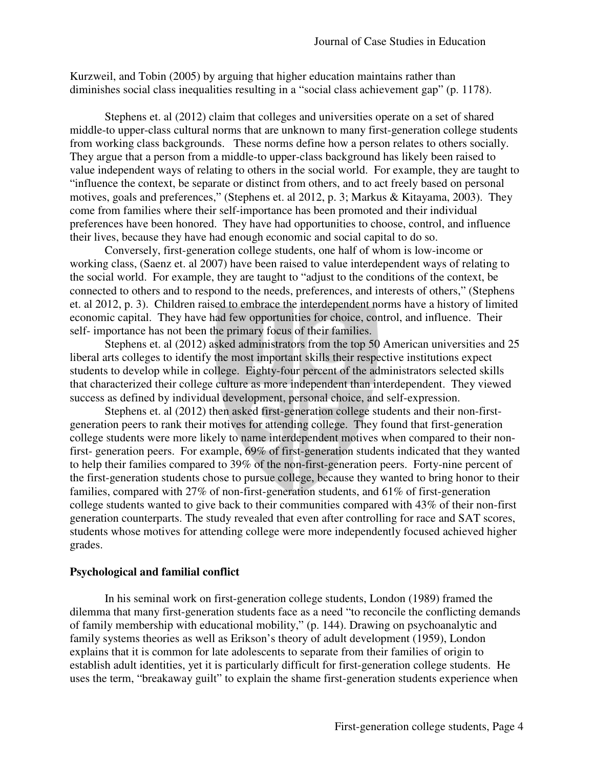Kurzweil, and Tobin (2005) by arguing that higher education maintains rather than diminishes social class inequalities resulting in a "social class achievement gap" (p. 1178).

Stephens et. al (2012) claim that colleges and universities operate on a set of shared middle-to upper-class cultural norms that are unknown to many first-generation college students from working class backgrounds. These norms define how a person relates to others socially. They argue that a person from a middle-to upper-class background has likely been raised to value independent ways of relating to others in the social world. For example, they are taught to "influence the context, be separate or distinct from others, and to act freely based on personal motives, goals and preferences," (Stephens et. al 2012, p. 3; Markus & Kitayama, 2003). They come from families where their self-importance has been promoted and their individual preferences have been honored. They have had opportunities to choose, control, and influence their lives, because they have had enough economic and social capital to do so.

Conversely, first-generation college students, one half of whom is low-income or working class, (Saenz et. al 2007) have been raised to value interdependent ways of relating to the social world. For example, they are taught to "adjust to the conditions of the context, be connected to others and to respond to the needs, preferences, and interests of others," (Stephens et. al 2012, p. 3). Children raised to embrace the interdependent norms have a history of limited economic capital. They have had few opportunities for choice, control, and influence. Their self- importance has not been the primary focus of their families.

Stephens et. al (2012) asked administrators from the top 50 American universities and 25 liberal arts colleges to identify the most important skills their respective institutions expect students to develop while in college. Eighty-four percent of the administrators selected skills that characterized their college culture as more independent than interdependent. They viewed success as defined by individual development, personal choice, and self-expression.

Stephens et. al (2012) then asked first-generation college students and their non-firstgeneration peers to rank their motives for attending college. They found that first-generation college students were more likely to name interdependent motives when compared to their nonfirst- generation peers. For example, 69% of first-generation students indicated that they wanted to help their families compared to 39% of the non-first-generation peers. Forty-nine percent of the first-generation students chose to pursue college, because they wanted to bring honor to their families, compared with 27% of non-first-generation students, and 61% of first-generation college students wanted to give back to their communities compared with 43% of their non-first generation counterparts. The study revealed that even after controlling for race and SAT scores, students whose motives for attending college were more independently focused achieved higher grades.

### **Psychological and familial conflict**

In his seminal work on first-generation college students, London (1989) framed the dilemma that many first-generation students face as a need "to reconcile the conflicting demands of family membership with educational mobility," (p. 144). Drawing on psychoanalytic and family systems theories as well as Erikson's theory of adult development (1959), London explains that it is common for late adolescents to separate from their families of origin to establish adult identities, yet it is particularly difficult for first-generation college students. He uses the term, "breakaway guilt" to explain the shame first-generation students experience when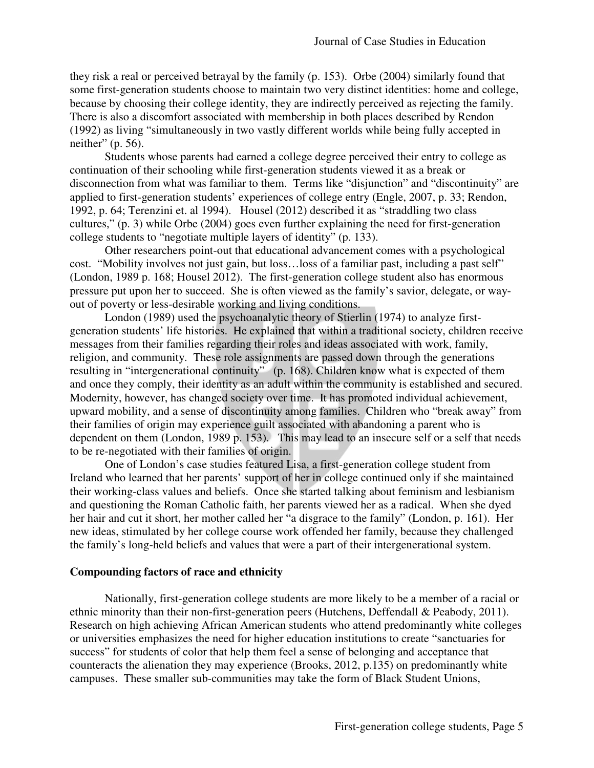they risk a real or perceived betrayal by the family (p. 153). Orbe (2004) similarly found that some first-generation students choose to maintain two very distinct identities: home and college, because by choosing their college identity, they are indirectly perceived as rejecting the family. There is also a discomfort associated with membership in both places described by Rendon (1992) as living "simultaneously in two vastly different worlds while being fully accepted in neither"  $(p. 56)$ .

Students whose parents had earned a college degree perceived their entry to college as continuation of their schooling while first-generation students viewed it as a break or disconnection from what was familiar to them. Terms like "disjunction" and "discontinuity" are applied to first-generation students' experiences of college entry (Engle, 2007, p. 33; Rendon, 1992, p. 64; Terenzini et. al 1994). Housel (2012) described it as "straddling two class cultures," (p. 3) while Orbe (2004) goes even further explaining the need for first-generation college students to "negotiate multiple layers of identity" (p. 133).

Other researchers point-out that educational advancement comes with a psychological cost. "Mobility involves not just gain, but loss…loss of a familiar past, including a past self" (London, 1989 p. 168; Housel 2012). The first-generation college student also has enormous pressure put upon her to succeed. She is often viewed as the family's savior, delegate, or wayout of poverty or less-desirable working and living conditions.

London (1989) used the psychoanalytic theory of Stierlin (1974) to analyze firstgeneration students' life histories. He explained that within a traditional society, children receive messages from their families regarding their roles and ideas associated with work, family, religion, and community. These role assignments are passed down through the generations resulting in "intergenerational continuity" (p. 168). Children know what is expected of them and once they comply, their identity as an adult within the community is established and secured. Modernity, however, has changed society over time. It has promoted individual achievement, upward mobility, and a sense of discontinuity among families. Children who "break away" from their families of origin may experience guilt associated with abandoning a parent who is dependent on them (London, 1989 p. 153). This may lead to an insecure self or a self that needs to be re-negotiated with their families of origin.

One of London's case studies featured Lisa, a first-generation college student from Ireland who learned that her parents' support of her in college continued only if she maintained their working-class values and beliefs. Once she started talking about feminism and lesbianism and questioning the Roman Catholic faith, her parents viewed her as a radical. When she dyed her hair and cut it short, her mother called her "a disgrace to the family" (London, p. 161). Her new ideas, stimulated by her college course work offended her family, because they challenged the family's long-held beliefs and values that were a part of their intergenerational system.

### **Compounding factors of race and ethnicity**

Nationally, first-generation college students are more likely to be a member of a racial or ethnic minority than their non-first-generation peers (Hutchens, Deffendall & Peabody, 2011). Research on high achieving African American students who attend predominantly white colleges or universities emphasizes the need for higher education institutions to create "sanctuaries for success" for students of color that help them feel a sense of belonging and acceptance that counteracts the alienation they may experience (Brooks, 2012, p.135) on predominantly white campuses. These smaller sub-communities may take the form of Black Student Unions,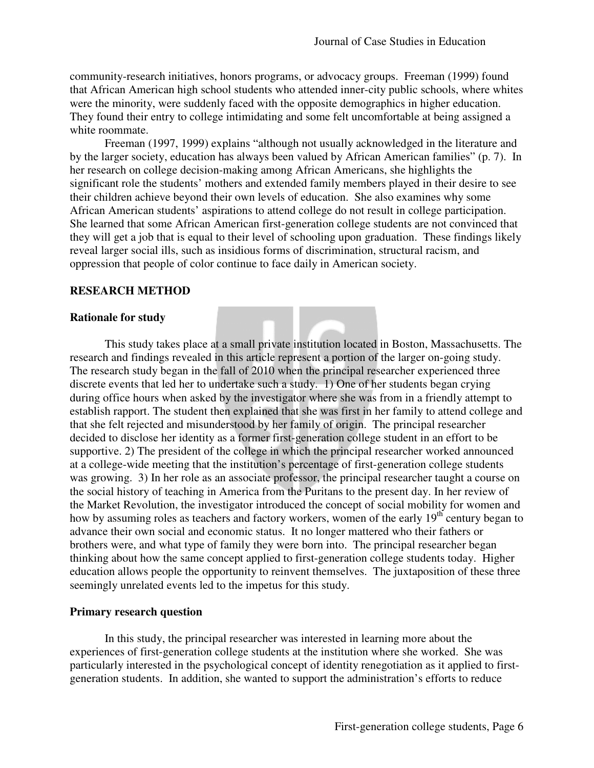community-research initiatives, honors programs, or advocacy groups. Freeman (1999) found that African American high school students who attended inner-city public schools, where whites were the minority, were suddenly faced with the opposite demographics in higher education. They found their entry to college intimidating and some felt uncomfortable at being assigned a white roommate.

Freeman (1997, 1999) explains "although not usually acknowledged in the literature and by the larger society, education has always been valued by African American families" (p. 7). In her research on college decision-making among African Americans, she highlights the significant role the students' mothers and extended family members played in their desire to see their children achieve beyond their own levels of education. She also examines why some African American students' aspirations to attend college do not result in college participation. She learned that some African American first-generation college students are not convinced that they will get a job that is equal to their level of schooling upon graduation. These findings likely reveal larger social ills, such as insidious forms of discrimination, structural racism, and oppression that people of color continue to face daily in American society.

### **RESEARCH METHOD**

#### **Rationale for study**

This study takes place at a small private institution located in Boston, Massachusetts. The research and findings revealed in this article represent a portion of the larger on-going study. The research study began in the fall of 2010 when the principal researcher experienced three discrete events that led her to undertake such a study. 1) One of her students began crying during office hours when asked by the investigator where she was from in a friendly attempt to establish rapport. The student then explained that she was first in her family to attend college and that she felt rejected and misunderstood by her family of origin. The principal researcher decided to disclose her identity as a former first-generation college student in an effort to be supportive. 2) The president of the college in which the principal researcher worked announced at a college-wide meeting that the institution's percentage of first-generation college students was growing. 3) In her role as an associate professor, the principal researcher taught a course on the social history of teaching in America from the Puritans to the present day. In her review of the Market Revolution, the investigator introduced the concept of social mobility for women and how by assuming roles as teachers and factory workers, women of the early 19<sup>th</sup> century began to advance their own social and economic status. It no longer mattered who their fathers or brothers were, and what type of family they were born into. The principal researcher began thinking about how the same concept applied to first-generation college students today. Higher education allows people the opportunity to reinvent themselves. The juxtaposition of these three seemingly unrelated events led to the impetus for this study.

#### **Primary research question**

In this study, the principal researcher was interested in learning more about the experiences of first-generation college students at the institution where she worked. She was particularly interested in the psychological concept of identity renegotiation as it applied to firstgeneration students. In addition, she wanted to support the administration's efforts to reduce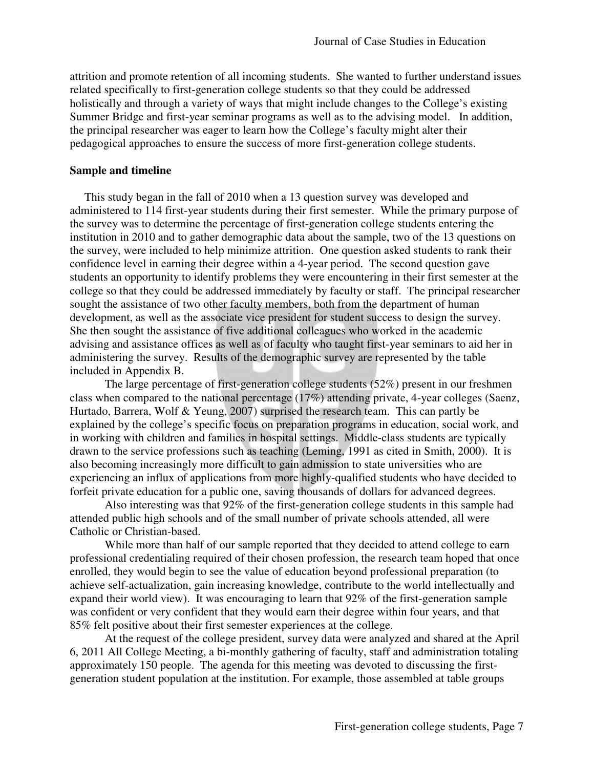attrition and promote retention of all incoming students. She wanted to further understand issues related specifically to first-generation college students so that they could be addressed holistically and through a variety of ways that might include changes to the College's existing Summer Bridge and first-year seminar programs as well as to the advising model. In addition, the principal researcher was eager to learn how the College's faculty might alter their pedagogical approaches to ensure the success of more first-generation college students.

#### **Sample and timeline**

 This study began in the fall of 2010 when a 13 question survey was developed and administered to 114 first-year students during their first semester. While the primary purpose of the survey was to determine the percentage of first-generation college students entering the institution in 2010 and to gather demographic data about the sample, two of the 13 questions on the survey, were included to help minimize attrition. One question asked students to rank their confidence level in earning their degree within a 4-year period. The second question gave students an opportunity to identify problems they were encountering in their first semester at the college so that they could be addressed immediately by faculty or staff. The principal researcher sought the assistance of two other faculty members, both from the department of human development, as well as the associate vice president for student success to design the survey. She then sought the assistance of five additional colleagues who worked in the academic advising and assistance offices as well as of faculty who taught first-year seminars to aid her in administering the survey. Results of the demographic survey are represented by the table included in Appendix B.

The large percentage of first-generation college students (52%) present in our freshmen class when compared to the national percentage (17%) attending private, 4-year colleges (Saenz, Hurtado, Barrera, Wolf & Yeung, 2007) surprised the research team. This can partly be explained by the college's specific focus on preparation programs in education, social work, and in working with children and families in hospital settings. Middle-class students are typically drawn to the service professions such as teaching (Leming, 1991 as cited in Smith, 2000). It is also becoming increasingly more difficult to gain admission to state universities who are experiencing an influx of applications from more highly-qualified students who have decided to forfeit private education for a public one, saving thousands of dollars for advanced degrees.

Also interesting was that 92% of the first-generation college students in this sample had attended public high schools and of the small number of private schools attended, all were Catholic or Christian-based.

While more than half of our sample reported that they decided to attend college to earn professional credentialing required of their chosen profession, the research team hoped that once enrolled, they would begin to see the value of education beyond professional preparation (to achieve self-actualization, gain increasing knowledge, contribute to the world intellectually and expand their world view). It was encouraging to learn that 92% of the first-generation sample was confident or very confident that they would earn their degree within four years, and that 85% felt positive about their first semester experiences at the college.

At the request of the college president, survey data were analyzed and shared at the April 6, 2011 All College Meeting, a bi-monthly gathering of faculty, staff and administration totaling approximately 150 people. The agenda for this meeting was devoted to discussing the firstgeneration student population at the institution. For example, those assembled at table groups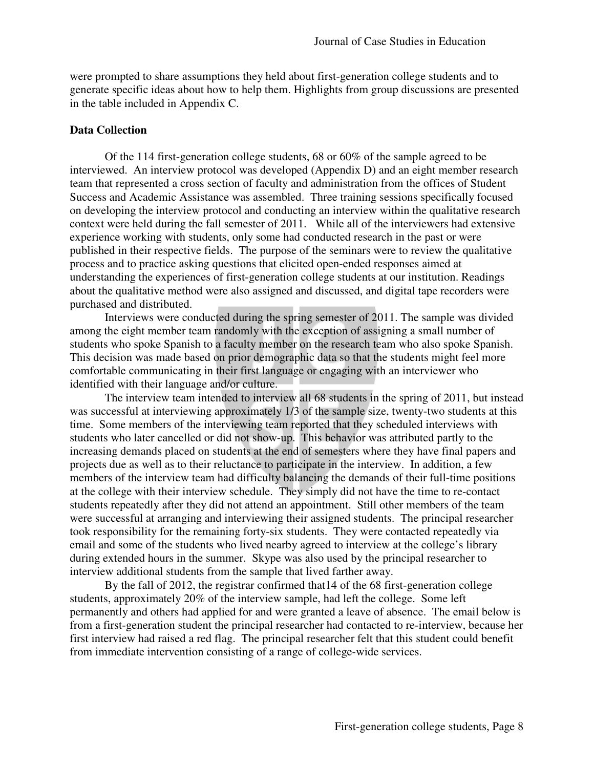were prompted to share assumptions they held about first-generation college students and to generate specific ideas about how to help them. Highlights from group discussions are presented in the table included in Appendix C.

### **Data Collection**

 Of the 114 first-generation college students, 68 or 60% of the sample agreed to be interviewed. An interview protocol was developed (Appendix D) and an eight member research team that represented a cross section of faculty and administration from the offices of Student Success and Academic Assistance was assembled. Three training sessions specifically focused on developing the interview protocol and conducting an interview within the qualitative research context were held during the fall semester of 2011. While all of the interviewers had extensive experience working with students, only some had conducted research in the past or were published in their respective fields. The purpose of the seminars were to review the qualitative process and to practice asking questions that elicited open-ended responses aimed at understanding the experiences of first-generation college students at our institution. Readings about the qualitative method were also assigned and discussed, and digital tape recorders were purchased and distributed.

Interviews were conducted during the spring semester of 2011. The sample was divided among the eight member team randomly with the exception of assigning a small number of students who spoke Spanish to a faculty member on the research team who also spoke Spanish. This decision was made based on prior demographic data so that the students might feel more comfortable communicating in their first language or engaging with an interviewer who identified with their language and/or culture.

 The interview team intended to interview all 68 students in the spring of 2011, but instead was successful at interviewing approximately 1/3 of the sample size, twenty-two students at this time. Some members of the interviewing team reported that they scheduled interviews with students who later cancelled or did not show-up. This behavior was attributed partly to the increasing demands placed on students at the end of semesters where they have final papers and projects due as well as to their reluctance to participate in the interview. In addition, a few members of the interview team had difficulty balancing the demands of their full-time positions at the college with their interview schedule. They simply did not have the time to re-contact students repeatedly after they did not attend an appointment. Still other members of the team were successful at arranging and interviewing their assigned students. The principal researcher took responsibility for the remaining forty-six students. They were contacted repeatedly via email and some of the students who lived nearby agreed to interview at the college's library during extended hours in the summer. Skype was also used by the principal researcher to interview additional students from the sample that lived farther away.

 By the fall of 2012, the registrar confirmed that14 of the 68 first-generation college students, approximately 20% of the interview sample, had left the college. Some left permanently and others had applied for and were granted a leave of absence. The email below is from a first-generation student the principal researcher had contacted to re-interview, because her first interview had raised a red flag. The principal researcher felt that this student could benefit from immediate intervention consisting of a range of college-wide services.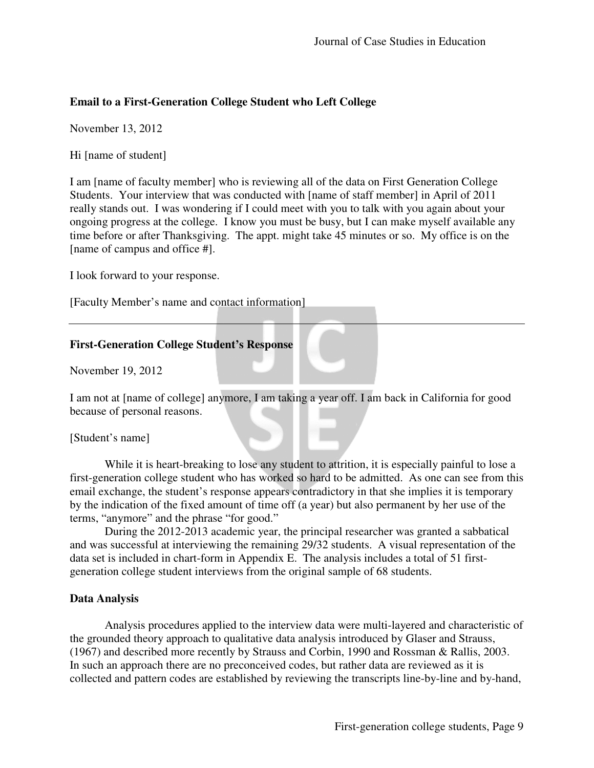## **Email to a First-Generation College Student who Left College**

November 13, 2012

Hi [name of student]

I am [name of faculty member] who is reviewing all of the data on First Generation College Students. Your interview that was conducted with [name of staff member] in April of 2011 really stands out. I was wondering if I could meet with you to talk with you again about your ongoing progress at the college. I know you must be busy, but I can make myself available any time before or after Thanksgiving. The appt. might take 45 minutes or so. My office is on the [name of campus and office #].

I look forward to your response.

[Faculty Member's name and contact information]

## **First-Generation College Student's Response**

November 19, 2012

I am not at [name of college] anymore, I am taking a year off. I am back in California for good because of personal reasons.

[Student's name]

While it is heart-breaking to lose any student to attrition, it is especially painful to lose a first-generation college student who has worked so hard to be admitted. As one can see from this email exchange, the student's response appears contradictory in that she implies it is temporary by the indication of the fixed amount of time off (a year) but also permanent by her use of the terms, "anymore" and the phrase "for good."

During the 2012-2013 academic year, the principal researcher was granted a sabbatical and was successful at interviewing the remaining 29/32 students. A visual representation of the data set is included in chart-form in Appendix E. The analysis includes a total of 51 firstgeneration college student interviews from the original sample of 68 students.

## **Data Analysis**

 Analysis procedures applied to the interview data were multi-layered and characteristic of the grounded theory approach to qualitative data analysis introduced by Glaser and Strauss, (1967) and described more recently by Strauss and Corbin, 1990 and Rossman & Rallis, 2003. In such an approach there are no preconceived codes, but rather data are reviewed as it is collected and pattern codes are established by reviewing the transcripts line-by-line and by-hand,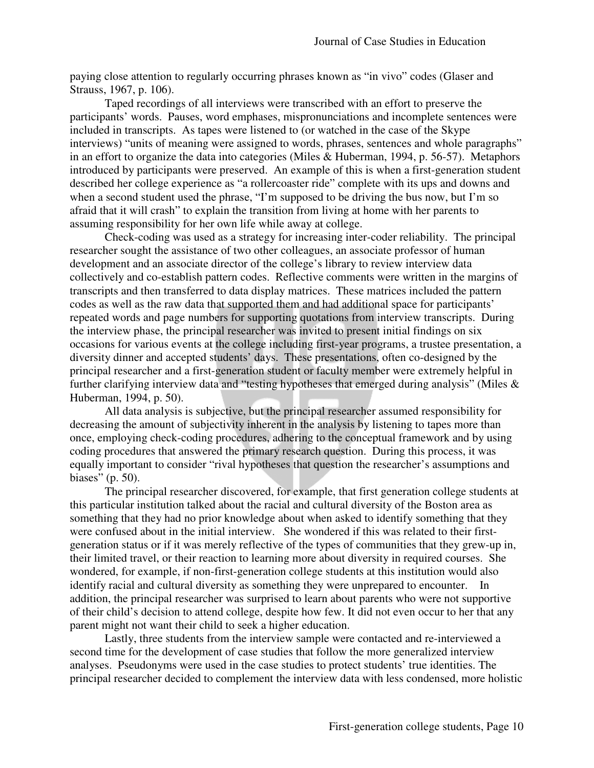paying close attention to regularly occurring phrases known as "in vivo" codes (Glaser and Strauss, 1967, p. 106).

 Taped recordings of all interviews were transcribed with an effort to preserve the participants' words. Pauses, word emphases, mispronunciations and incomplete sentences were included in transcripts. As tapes were listened to (or watched in the case of the Skype interviews) "units of meaning were assigned to words, phrases, sentences and whole paragraphs" in an effort to organize the data into categories (Miles & Huberman, 1994, p. 56-57). Metaphors introduced by participants were preserved. An example of this is when a first-generation student described her college experience as "a rollercoaster ride" complete with its ups and downs and when a second student used the phrase, "I'm supposed to be driving the bus now, but I'm so afraid that it will crash" to explain the transition from living at home with her parents to assuming responsibility for her own life while away at college.

 Check-coding was used as a strategy for increasing inter-coder reliability. The principal researcher sought the assistance of two other colleagues, an associate professor of human development and an associate director of the college's library to review interview data collectively and co-establish pattern codes. Reflective comments were written in the margins of transcripts and then transferred to data display matrices. These matrices included the pattern codes as well as the raw data that supported them and had additional space for participants' repeated words and page numbers for supporting quotations from interview transcripts. During the interview phase, the principal researcher was invited to present initial findings on six occasions for various events at the college including first-year programs, a trustee presentation, a diversity dinner and accepted students' days. These presentations, often co-designed by the principal researcher and a first-generation student or faculty member were extremely helpful in further clarifying interview data and "testing hypotheses that emerged during analysis" (Miles & Huberman, 1994, p. 50).

 All data analysis is subjective, but the principal researcher assumed responsibility for decreasing the amount of subjectivity inherent in the analysis by listening to tapes more than once, employing check-coding procedures, adhering to the conceptual framework and by using coding procedures that answered the primary research question. During this process, it was equally important to consider "rival hypotheses that question the researcher's assumptions and biases" (p. 50).

 The principal researcher discovered, for example, that first generation college students at this particular institution talked about the racial and cultural diversity of the Boston area as something that they had no prior knowledge about when asked to identify something that they were confused about in the initial interview. She wondered if this was related to their firstgeneration status or if it was merely reflective of the types of communities that they grew-up in, their limited travel, or their reaction to learning more about diversity in required courses. She wondered, for example, if non-first-generation college students at this institution would also identify racial and cultural diversity as something they were unprepared to encounter. In addition, the principal researcher was surprised to learn about parents who were not supportive of their child's decision to attend college, despite how few. It did not even occur to her that any parent might not want their child to seek a higher education.

 Lastly, three students from the interview sample were contacted and re-interviewed a second time for the development of case studies that follow the more generalized interview analyses. Pseudonyms were used in the case studies to protect students' true identities. The principal researcher decided to complement the interview data with less condensed, more holistic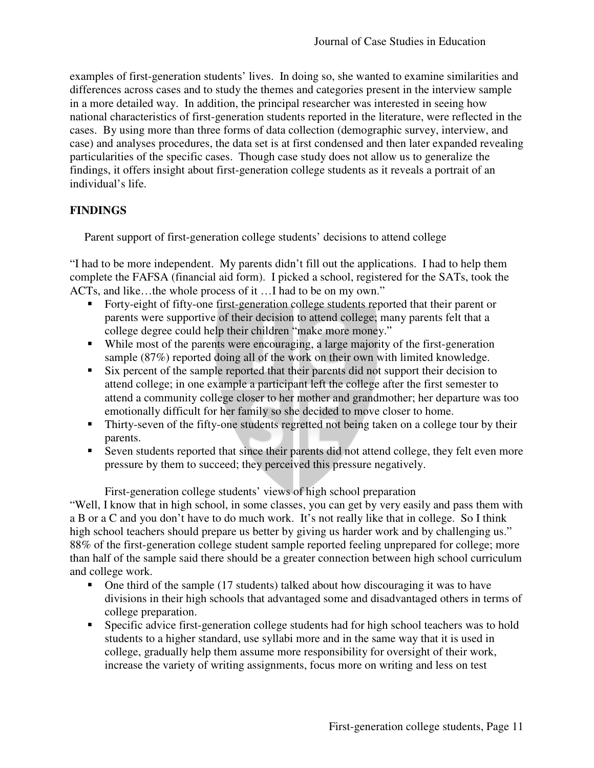examples of first-generation students' lives. In doing so, she wanted to examine similarities and differences across cases and to study the themes and categories present in the interview sample in a more detailed way. In addition, the principal researcher was interested in seeing how national characteristics of first-generation students reported in the literature, were reflected in the cases. By using more than three forms of data collection (demographic survey, interview, and case) and analyses procedures, the data set is at first condensed and then later expanded revealing particularities of the specific cases. Though case study does not allow us to generalize the findings, it offers insight about first-generation college students as it reveals a portrait of an individual's life.

## **FINDINGS**

Parent support of first-generation college students' decisions to attend college

"I had to be more independent. My parents didn't fill out the applications. I had to help them complete the FAFSA (financial aid form). I picked a school, registered for the SATs, took the ACTs, and like…the whole process of it …I had to be on my own."

- Forty-eight of fifty-one first-generation college students reported that their parent or parents were supportive of their decision to attend college; many parents felt that a college degree could help their children "make more money."
- While most of the parents were encouraging, a large majority of the first-generation sample (87%) reported doing all of the work on their own with limited knowledge.
- Six percent of the sample reported that their parents did not support their decision to attend college; in one example a participant left the college after the first semester to attend a community college closer to her mother and grandmother; her departure was too emotionally difficult for her family so she decided to move closer to home.
- Thirty-seven of the fifty-one students regretted not being taken on a college tour by their parents.
- Seven students reported that since their parents did not attend college, they felt even more pressure by them to succeed; they perceived this pressure negatively.

First-generation college students' views of high school preparation

"Well, I know that in high school, in some classes, you can get by very easily and pass them with a B or a C and you don't have to do much work. It's not really like that in college. So I think high school teachers should prepare us better by giving us harder work and by challenging us." 88% of the first-generation college student sample reported feeling unprepared for college; more than half of the sample said there should be a greater connection between high school curriculum and college work.

- One third of the sample (17 students) talked about how discouraging it was to have divisions in their high schools that advantaged some and disadvantaged others in terms of college preparation.
- Specific advice first-generation college students had for high school teachers was to hold students to a higher standard, use syllabi more and in the same way that it is used in college, gradually help them assume more responsibility for oversight of their work, increase the variety of writing assignments, focus more on writing and less on test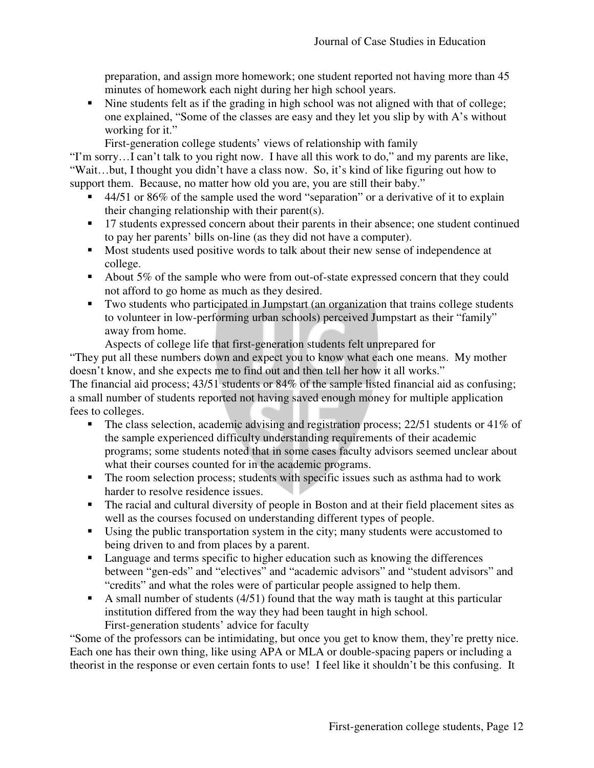preparation, and assign more homework; one student reported not having more than 45 minutes of homework each night during her high school years.

• Nine students felt as if the grading in high school was not aligned with that of college; one explained, "Some of the classes are easy and they let you slip by with A's without working for it."

First-generation college students' views of relationship with family

"I'm sorry…I can't talk to you right now. I have all this work to do," and my parents are like, "Wait…but, I thought you didn't have a class now. So, it's kind of like figuring out how to support them. Because, no matter how old you are, you are still their baby."

- 44/51 or 86% of the sample used the word "separation" or a derivative of it to explain their changing relationship with their parent(s).
- <sup>17</sup> students expressed concern about their parents in their absence; one student continued to pay her parents' bills on-line (as they did not have a computer).
- Most students used positive words to talk about their new sense of independence at college.
- About 5% of the sample who were from out-of-state expressed concern that they could not afford to go home as much as they desired.
- Two students who participated in Jumpstart (an organization that trains college students to volunteer in low-performing urban schools) perceived Jumpstart as their "family" away from home.

Aspects of college life that first-generation students felt unprepared for

"They put all these numbers down and expect you to know what each one means. My mother doesn't know, and she expects me to find out and then tell her how it all works."

The financial aid process; 43/51 students or 84% of the sample listed financial aid as confusing; a small number of students reported not having saved enough money for multiple application fees to colleges.

- The class selection, academic advising and registration process;  $22/51$  students or  $41\%$  of the sample experienced difficulty understanding requirements of their academic programs; some students noted that in some cases faculty advisors seemed unclear about what their courses counted for in the academic programs.
- The room selection process; students with specific issues such as asthma had to work harder to resolve residence issues.
- The racial and cultural diversity of people in Boston and at their field placement sites as well as the courses focused on understanding different types of people.
- Using the public transportation system in the city; many students were accustomed to being driven to and from places by a parent.
- Language and terms specific to higher education such as knowing the differences between "gen-eds" and "electives" and "academic advisors" and "student advisors" and "credits" and what the roles were of particular people assigned to help them.
- A small number of students  $(4/51)$  found that the way math is taught at this particular institution differed from the way they had been taught in high school. First-generation students' advice for faculty

"Some of the professors can be intimidating, but once you get to know them, they're pretty nice. Each one has their own thing, like using APA or MLA or double-spacing papers or including a theorist in the response or even certain fonts to use! I feel like it shouldn't be this confusing. It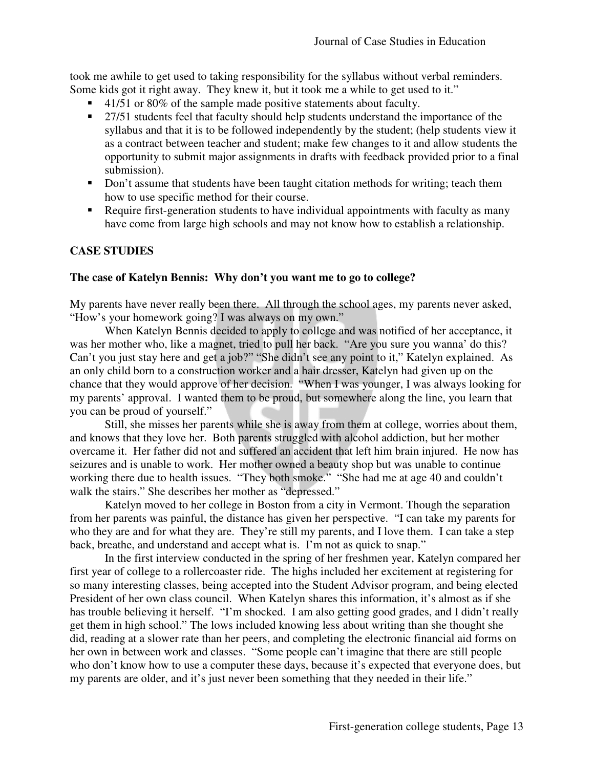took me awhile to get used to taking responsibility for the syllabus without verbal reminders. Some kids got it right away. They knew it, but it took me a while to get used to it."

- $\blacksquare$  41/51 or 80% of the sample made positive statements about faculty.
- <sup>27/51</sup> students feel that faculty should help students understand the importance of the syllabus and that it is to be followed independently by the student; (help students view it as a contract between teacher and student; make few changes to it and allow students the opportunity to submit major assignments in drafts with feedback provided prior to a final submission).
- Don't assume that students have been taught citation methods for writing; teach them how to use specific method for their course.
- Require first-generation students to have individual appointments with faculty as many have come from large high schools and may not know how to establish a relationship.

# **CASE STUDIES**

### **The case of Katelyn Bennis: Why don't you want me to go to college?**

My parents have never really been there. All through the school ages, my parents never asked, "How's your homework going? I was always on my own."

 When Katelyn Bennis decided to apply to college and was notified of her acceptance, it was her mother who, like a magnet, tried to pull her back. "Are you sure you wanna' do this? Can't you just stay here and get a job?" "She didn't see any point to it," Katelyn explained. As an only child born to a construction worker and a hair dresser, Katelyn had given up on the chance that they would approve of her decision. "When I was younger, I was always looking for my parents' approval. I wanted them to be proud, but somewhere along the line, you learn that you can be proud of yourself."

 Still, she misses her parents while she is away from them at college, worries about them, and knows that they love her. Both parents struggled with alcohol addiction, but her mother overcame it. Her father did not and suffered an accident that left him brain injured. He now has seizures and is unable to work. Her mother owned a beauty shop but was unable to continue working there due to health issues. "They both smoke." "She had me at age 40 and couldn't walk the stairs." She describes her mother as "depressed."

 Katelyn moved to her college in Boston from a city in Vermont. Though the separation from her parents was painful, the distance has given her perspective. "I can take my parents for who they are and for what they are. They're still my parents, and I love them. I can take a step back, breathe, and understand and accept what is. I'm not as quick to snap."

 In the first interview conducted in the spring of her freshmen year, Katelyn compared her first year of college to a rollercoaster ride. The highs included her excitement at registering for so many interesting classes, being accepted into the Student Advisor program, and being elected President of her own class council. When Katelyn shares this information, it's almost as if she has trouble believing it herself. "I'm shocked. I am also getting good grades, and I didn't really get them in high school." The lows included knowing less about writing than she thought she did, reading at a slower rate than her peers, and completing the electronic financial aid forms on her own in between work and classes. "Some people can't imagine that there are still people who don't know how to use a computer these days, because it's expected that everyone does, but my parents are older, and it's just never been something that they needed in their life."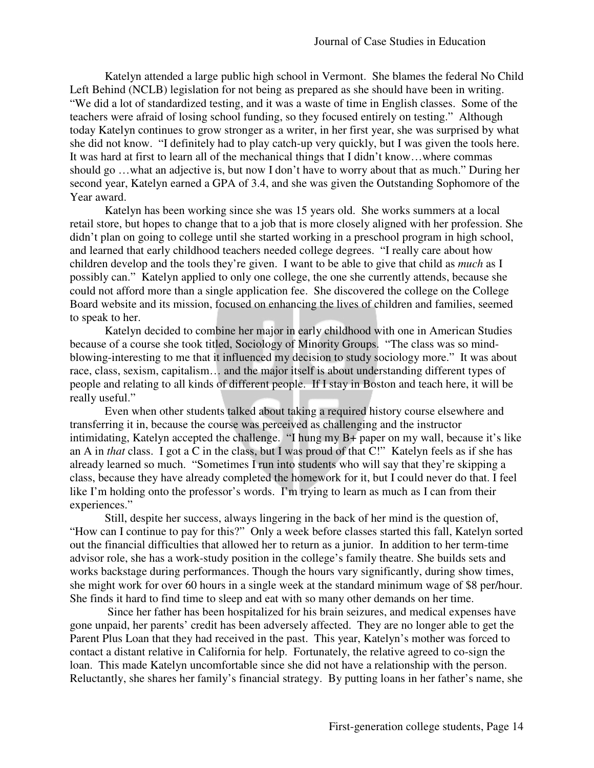Katelyn attended a large public high school in Vermont. She blames the federal No Child Left Behind (NCLB) legislation for not being as prepared as she should have been in writing. "We did a lot of standardized testing, and it was a waste of time in English classes. Some of the teachers were afraid of losing school funding, so they focused entirely on testing." Although today Katelyn continues to grow stronger as a writer, in her first year, she was surprised by what she did not know. "I definitely had to play catch-up very quickly, but I was given the tools here. It was hard at first to learn all of the mechanical things that I didn't know…where commas should go …what an adjective is, but now I don't have to worry about that as much." During her second year, Katelyn earned a GPA of 3.4, and she was given the Outstanding Sophomore of the Year award.

 Katelyn has been working since she was 15 years old. She works summers at a local retail store, but hopes to change that to a job that is more closely aligned with her profession. She didn't plan on going to college until she started working in a preschool program in high school, and learned that early childhood teachers needed college degrees. "I really care about how children develop and the tools they're given. I want to be able to give that child as *much* as I possibly can." Katelyn applied to only one college, the one she currently attends, because she could not afford more than a single application fee. She discovered the college on the College Board website and its mission, focused on enhancing the lives of children and families, seemed to speak to her.

 Katelyn decided to combine her major in early childhood with one in American Studies because of a course she took titled, Sociology of Minority Groups. "The class was so mindblowing-interesting to me that it influenced my decision to study sociology more." It was about race, class, sexism, capitalism… and the major itself is about understanding different types of people and relating to all kinds of different people. If I stay in Boston and teach here, it will be really useful."

 Even when other students talked about taking a required history course elsewhere and transferring it in, because the course was perceived as challenging and the instructor intimidating, Katelyn accepted the challenge. "I hung my B+ paper on my wall, because it's like an A in *that* class. I got a C in the class, but I was proud of that C!" Katelyn feels as if she has already learned so much. "Sometimes I run into students who will say that they're skipping a class, because they have already completed the homework for it, but I could never do that. I feel like I'm holding onto the professor's words. I'm trying to learn as much as I can from their experiences."

 Still, despite her success, always lingering in the back of her mind is the question of, "How can I continue to pay for this?" Only a week before classes started this fall, Katelyn sorted out the financial difficulties that allowed her to return as a junior. In addition to her term-time advisor role, she has a work-study position in the college's family theatre. She builds sets and works backstage during performances. Though the hours vary significantly, during show times, she might work for over 60 hours in a single week at the standard minimum wage of \$8 per/hour. She finds it hard to find time to sleep and eat with so many other demands on her time.

 Since her father has been hospitalized for his brain seizures, and medical expenses have gone unpaid, her parents' credit has been adversely affected. They are no longer able to get the Parent Plus Loan that they had received in the past. This year, Katelyn's mother was forced to contact a distant relative in California for help. Fortunately, the relative agreed to co-sign the loan. This made Katelyn uncomfortable since she did not have a relationship with the person. Reluctantly, she shares her family's financial strategy. By putting loans in her father's name, she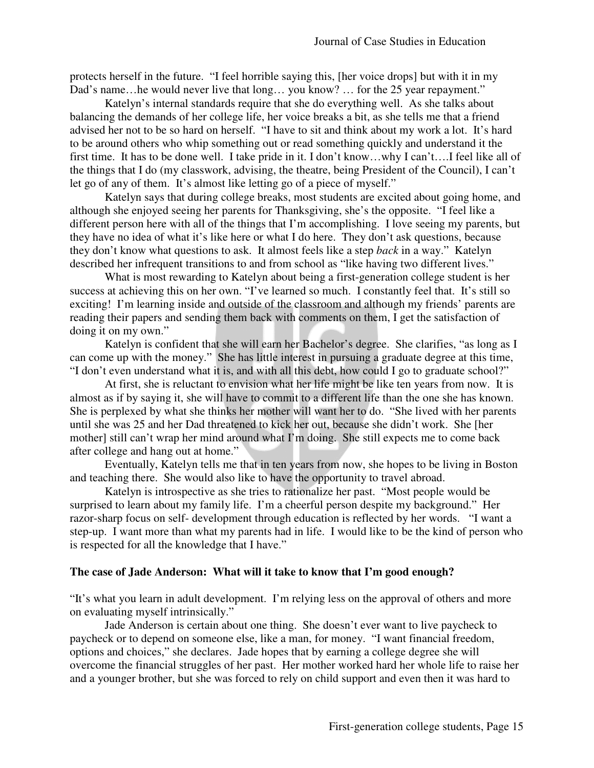protects herself in the future. "I feel horrible saying this, [her voice drops] but with it in my Dad's name...he would never live that long... you know? ... for the 25 year repayment."

 Katelyn's internal standards require that she do everything well. As she talks about balancing the demands of her college life, her voice breaks a bit, as she tells me that a friend advised her not to be so hard on herself. "I have to sit and think about my work a lot. It's hard to be around others who whip something out or read something quickly and understand it the first time. It has to be done well. I take pride in it. I don't know…why I can't….I feel like all of the things that I do (my classwork, advising, the theatre, being President of the Council), I can't let go of any of them. It's almost like letting go of a piece of myself."

 Katelyn says that during college breaks, most students are excited about going home, and although she enjoyed seeing her parents for Thanksgiving, she's the opposite. "I feel like a different person here with all of the things that I'm accomplishing. I love seeing my parents, but they have no idea of what it's like here or what I do here. They don't ask questions, because they don't know what questions to ask. It almost feels like a step *back* in a way." Katelyn described her infrequent transitions to and from school as "like having two different lives."

 What is most rewarding to Katelyn about being a first-generation college student is her success at achieving this on her own. "I've learned so much. I constantly feel that. It's still so exciting! I'm learning inside and outside of the classroom and although my friends' parents are reading their papers and sending them back with comments on them, I get the satisfaction of doing it on my own."

 Katelyn is confident that she will earn her Bachelor's degree. She clarifies, "as long as I can come up with the money." She has little interest in pursuing a graduate degree at this time, "I don't even understand what it is, and with all this debt, how could I go to graduate school?"

 At first, she is reluctant to envision what her life might be like ten years from now. It is almost as if by saying it, she will have to commit to a different life than the one she has known. She is perplexed by what she thinks her mother will want her to do. "She lived with her parents until she was 25 and her Dad threatened to kick her out, because she didn't work. She [her mother] still can't wrap her mind around what I'm doing. She still expects me to come back after college and hang out at home."

 Eventually, Katelyn tells me that in ten years from now, she hopes to be living in Boston and teaching there. She would also like to have the opportunity to travel abroad.

 Katelyn is introspective as she tries to rationalize her past. "Most people would be surprised to learn about my family life. I'm a cheerful person despite my background." Her razor-sharp focus on self- development through education is reflected by her words. "I want a step-up. I want more than what my parents had in life. I would like to be the kind of person who is respected for all the knowledge that I have."

### **The case of Jade Anderson: What will it take to know that I'm good enough?**

"It's what you learn in adult development. I'm relying less on the approval of others and more on evaluating myself intrinsically."

 Jade Anderson is certain about one thing. She doesn't ever want to live paycheck to paycheck or to depend on someone else, like a man, for money. "I want financial freedom, options and choices," she declares. Jade hopes that by earning a college degree she will overcome the financial struggles of her past. Her mother worked hard her whole life to raise her and a younger brother, but she was forced to rely on child support and even then it was hard to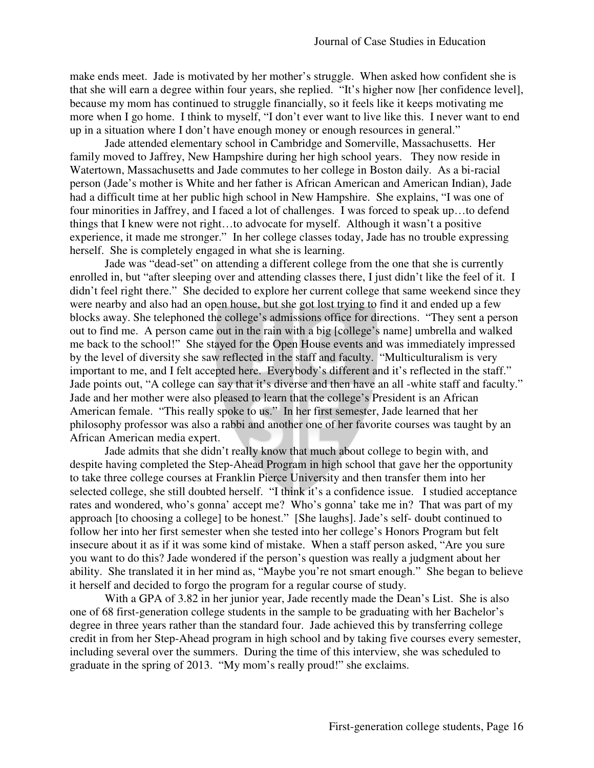make ends meet. Jade is motivated by her mother's struggle. When asked how confident she is that she will earn a degree within four years, she replied. "It's higher now [her confidence level], because my mom has continued to struggle financially, so it feels like it keeps motivating me more when I go home. I think to myself, "I don't ever want to live like this. I never want to end up in a situation where I don't have enough money or enough resources in general."

 Jade attended elementary school in Cambridge and Somerville, Massachusetts. Her family moved to Jaffrey, New Hampshire during her high school years. They now reside in Watertown, Massachusetts and Jade commutes to her college in Boston daily. As a bi-racial person (Jade's mother is White and her father is African American and American Indian), Jade had a difficult time at her public high school in New Hampshire. She explains, "I was one of four minorities in Jaffrey, and I faced a lot of challenges. I was forced to speak up…to defend things that I knew were not right…to advocate for myself. Although it wasn't a positive experience, it made me stronger." In her college classes today, Jade has no trouble expressing herself. She is completely engaged in what she is learning.

 Jade was "dead-set" on attending a different college from the one that she is currently enrolled in, but "after sleeping over and attending classes there, I just didn't like the feel of it. I didn't feel right there." She decided to explore her current college that same weekend since they were nearby and also had an open house, but she got lost trying to find it and ended up a few blocks away. She telephoned the college's admissions office for directions. "They sent a person out to find me. A person came out in the rain with a big [college's name] umbrella and walked me back to the school!" She stayed for the Open House events and was immediately impressed by the level of diversity she saw reflected in the staff and faculty. "Multiculturalism is very important to me, and I felt accepted here. Everybody's different and it's reflected in the staff." Jade points out, "A college can say that it's diverse and then have an all -white staff and faculty." Jade and her mother were also pleased to learn that the college's President is an African American female. "This really spoke to us." In her first semester, Jade learned that her philosophy professor was also a rabbi and another one of her favorite courses was taught by an African American media expert.

 Jade admits that she didn't really know that much about college to begin with, and despite having completed the Step-Ahead Program in high school that gave her the opportunity to take three college courses at Franklin Pierce University and then transfer them into her selected college, she still doubted herself. "I think it's a confidence issue. I studied acceptance rates and wondered, who's gonna' accept me? Who's gonna' take me in? That was part of my approach [to choosing a college] to be honest." [She laughs]. Jade's self- doubt continued to follow her into her first semester when she tested into her college's Honors Program but felt insecure about it as if it was some kind of mistake. When a staff person asked, "Are you sure you want to do this? Jade wondered if the person's question was really a judgment about her ability. She translated it in her mind as, "Maybe you're not smart enough." She began to believe it herself and decided to forgo the program for a regular course of study.

 With a GPA of 3.82 in her junior year, Jade recently made the Dean's List. She is also one of 68 first-generation college students in the sample to be graduating with her Bachelor's degree in three years rather than the standard four. Jade achieved this by transferring college credit in from her Step-Ahead program in high school and by taking five courses every semester, including several over the summers. During the time of this interview, she was scheduled to graduate in the spring of 2013. "My mom's really proud!" she exclaims.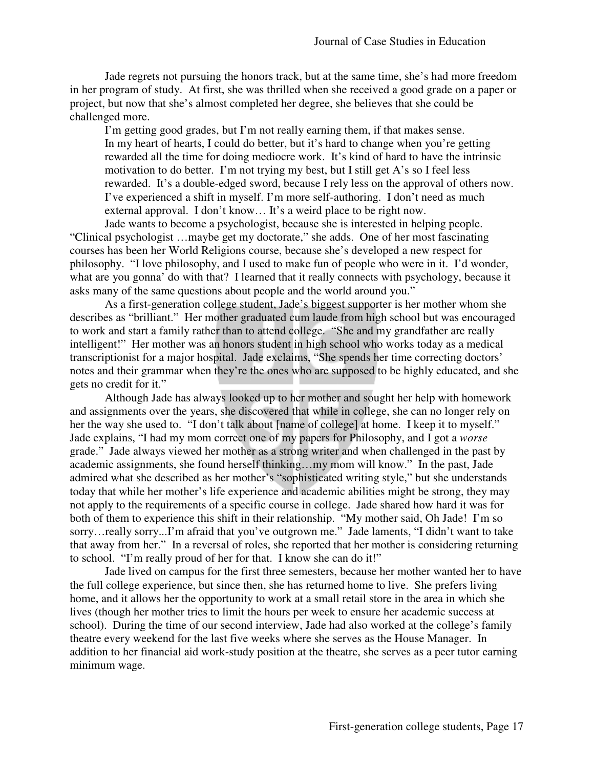Jade regrets not pursuing the honors track, but at the same time, she's had more freedom in her program of study. At first, she was thrilled when she received a good grade on a paper or project, but now that she's almost completed her degree, she believes that she could be challenged more.

I'm getting good grades, but I'm not really earning them, if that makes sense. In my heart of hearts, I could do better, but it's hard to change when you're getting rewarded all the time for doing mediocre work. It's kind of hard to have the intrinsic motivation to do better. I'm not trying my best, but I still get A's so I feel less rewarded. It's a double-edged sword, because I rely less on the approval of others now. I've experienced a shift in myself. I'm more self-authoring. I don't need as much external approval. I don't know… It's a weird place to be right now.

 Jade wants to become a psychologist, because she is interested in helping people. "Clinical psychologist …maybe get my doctorate," she adds. One of her most fascinating courses has been her World Religions course, because she's developed a new respect for philosophy. "I love philosophy, and I used to make fun of people who were in it. I'd wonder, what are you gonna' do with that? I learned that it really connects with psychology, because it asks many of the same questions about people and the world around you."

 As a first-generation college student, Jade's biggest supporter is her mother whom she describes as "brilliant." Her mother graduated cum laude from high school but was encouraged to work and start a family rather than to attend college. "She and my grandfather are really intelligent!" Her mother was an honors student in high school who works today as a medical transcriptionist for a major hospital. Jade exclaims, "She spends her time correcting doctors' notes and their grammar when they're the ones who are supposed to be highly educated, and she gets no credit for it."

 Although Jade has always looked up to her mother and sought her help with homework and assignments over the years, she discovered that while in college, she can no longer rely on her the way she used to. "I don't talk about [name of college] at home. I keep it to myself." Jade explains, "I had my mom correct one of my papers for Philosophy, and I got a *worse*  grade." Jade always viewed her mother as a strong writer and when challenged in the past by academic assignments, she found herself thinking…my mom will know." In the past, Jade admired what she described as her mother's "sophisticated writing style," but she understands today that while her mother's life experience and academic abilities might be strong, they may not apply to the requirements of a specific course in college. Jade shared how hard it was for both of them to experience this shift in their relationship. "My mother said, Oh Jade! I'm so sorry…really sorry...I'm afraid that you've outgrown me." Jade laments, "I didn't want to take that away from her." In a reversal of roles, she reported that her mother is considering returning to school. "I'm really proud of her for that. I know she can do it!"

 Jade lived on campus for the first three semesters, because her mother wanted her to have the full college experience, but since then, she has returned home to live. She prefers living home, and it allows her the opportunity to work at a small retail store in the area in which she lives (though her mother tries to limit the hours per week to ensure her academic success at school). During the time of our second interview, Jade had also worked at the college's family theatre every weekend for the last five weeks where she serves as the House Manager. In addition to her financial aid work-study position at the theatre, she serves as a peer tutor earning minimum wage.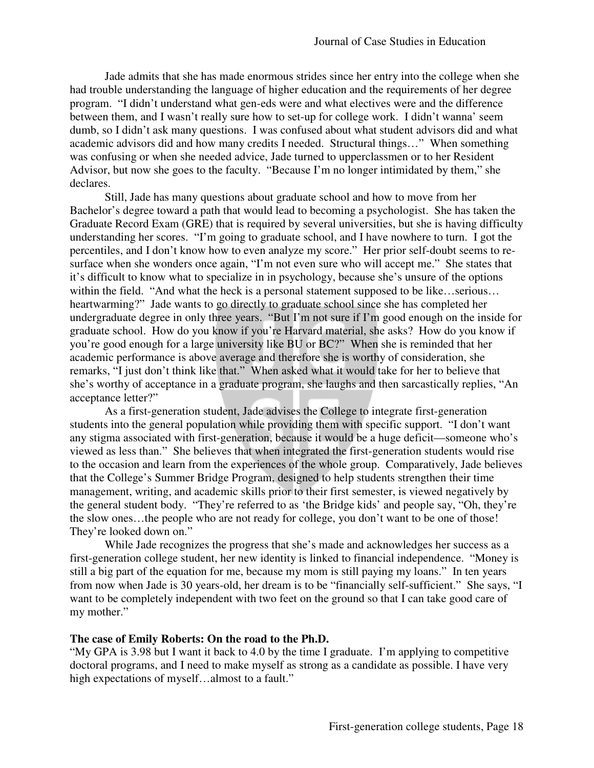Jade admits that she has made enormous strides since her entry into the college when she had trouble understanding the language of higher education and the requirements of her degree program. "I didn't understand what gen-eds were and what electives were and the difference between them, and I wasn't really sure how to set-up for college work. I didn't wanna' seem dumb, so I didn't ask many questions. I was confused about what student advisors did and what academic advisors did and how many credits I needed. Structural things…" When something was confusing or when she needed advice, Jade turned to upperclassmen or to her Resident Advisor, but now she goes to the faculty. "Because I'm no longer intimidated by them," she declares.

 Still, Jade has many questions about graduate school and how to move from her Bachelor's degree toward a path that would lead to becoming a psychologist. She has taken the Graduate Record Exam (GRE) that is required by several universities, but she is having difficulty understanding her scores. "I'm going to graduate school, and I have nowhere to turn. I got the percentiles, and I don't know how to even analyze my score." Her prior self-doubt seems to resurface when she wonders once again, "I'm not even sure who will accept me." She states that it's difficult to know what to specialize in in psychology, because she's unsure of the options within the field. "And what the heck is a personal statement supposed to be like...serious... heartwarming?" Jade wants to go directly to graduate school since she has completed her undergraduate degree in only three years. "But I'm not sure if I'm good enough on the inside for graduate school. How do you know if you're Harvard material, she asks? How do you know if you're good enough for a large university like BU or BC?" When she is reminded that her academic performance is above average and therefore she is worthy of consideration, she remarks, "I just don't think like that." When asked what it would take for her to believe that she's worthy of acceptance in a graduate program, she laughs and then sarcastically replies, "An acceptance letter?"

 As a first-generation student, Jade advises the College to integrate first-generation students into the general population while providing them with specific support. "I don't want any stigma associated with first-generation, because it would be a huge deficit—someone who's viewed as less than." She believes that when integrated the first-generation students would rise to the occasion and learn from the experiences of the whole group. Comparatively, Jade believes that the College's Summer Bridge Program, designed to help students strengthen their time management, writing, and academic skills prior to their first semester, is viewed negatively by the general student body. "They're referred to as 'the Bridge kids' and people say, "Oh, they're the slow ones…the people who are not ready for college, you don't want to be one of those! They're looked down on."

 While Jade recognizes the progress that she's made and acknowledges her success as a first-generation college student, her new identity is linked to financial independence. "Money is still a big part of the equation for me, because my mom is still paying my loans." In ten years from now when Jade is 30 years-old, her dream is to be "financially self-sufficient." She says, "I want to be completely independent with two feet on the ground so that I can take good care of my mother."

#### **The case of Emily Roberts: On the road to the Ph.D.**

"My GPA is 3.98 but I want it back to 4.0 by the time I graduate. I'm applying to competitive doctoral programs, and I need to make myself as strong as a candidate as possible. I have very high expectations of myself...almost to a fault."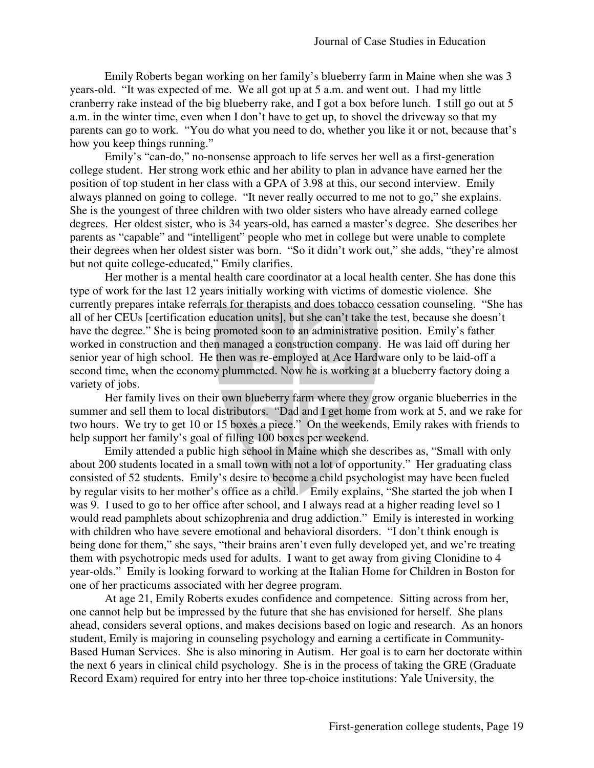Emily Roberts began working on her family's blueberry farm in Maine when she was 3 years-old. "It was expected of me. We all got up at 5 a.m. and went out. I had my little cranberry rake instead of the big blueberry rake, and I got a box before lunch. I still go out at 5 a.m. in the winter time, even when I don't have to get up, to shovel the driveway so that my parents can go to work. "You do what you need to do, whether you like it or not, because that's how you keep things running."

 Emily's "can-do," no-nonsense approach to life serves her well as a first-generation college student. Her strong work ethic and her ability to plan in advance have earned her the position of top student in her class with a GPA of 3.98 at this, our second interview. Emily always planned on going to college. "It never really occurred to me not to go," she explains. She is the youngest of three children with two older sisters who have already earned college degrees. Her oldest sister, who is 34 years-old, has earned a master's degree. She describes her parents as "capable" and "intelligent" people who met in college but were unable to complete their degrees when her oldest sister was born. "So it didn't work out," she adds, "they're almost but not quite college-educated," Emily clarifies.

 Her mother is a mental health care coordinator at a local health center. She has done this type of work for the last 12 years initially working with victims of domestic violence. She currently prepares intake referrals for therapists and does tobacco cessation counseling. "She has all of her CEUs [certification education units], but she can't take the test, because she doesn't have the degree." She is being promoted soon to an administrative position. Emily's father worked in construction and then managed a construction company. He was laid off during her senior year of high school. He then was re-employed at Ace Hardware only to be laid-off a second time, when the economy plummeted. Now he is working at a blueberry factory doing a variety of jobs.

 Her family lives on their own blueberry farm where they grow organic blueberries in the summer and sell them to local distributors. "Dad and I get home from work at 5, and we rake for two hours. We try to get 10 or 15 boxes a piece." On the weekends, Emily rakes with friends to help support her family's goal of filling 100 boxes per weekend.

 Emily attended a public high school in Maine which she describes as, "Small with only about 200 students located in a small town with not a lot of opportunity." Her graduating class consisted of 52 students. Emily's desire to become a child psychologist may have been fueled by regular visits to her mother's office as a child. Emily explains, "She started the job when I was 9. I used to go to her office after school, and I always read at a higher reading level so I would read pamphlets about schizophrenia and drug addiction." Emily is interested in working with children who have severe emotional and behavioral disorders. "I don't think enough is being done for them," she says, "their brains aren't even fully developed yet, and we're treating them with psychotropic meds used for adults. I want to get away from giving Clonidine to 4 year-olds." Emily is looking forward to working at the Italian Home for Children in Boston for one of her practicums associated with her degree program.

At age 21, Emily Roberts exudes confidence and competence. Sitting across from her, one cannot help but be impressed by the future that she has envisioned for herself. She plans ahead, considers several options, and makes decisions based on logic and research. As an honors student, Emily is majoring in counseling psychology and earning a certificate in Community-Based Human Services. She is also minoring in Autism. Her goal is to earn her doctorate within the next 6 years in clinical child psychology. She is in the process of taking the GRE (Graduate Record Exam) required for entry into her three top-choice institutions: Yale University, the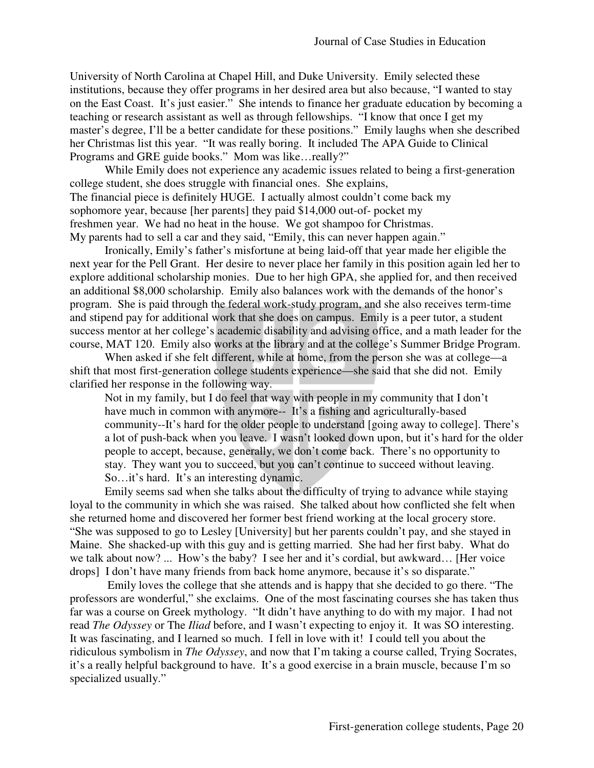University of North Carolina at Chapel Hill, and Duke University. Emily selected these institutions, because they offer programs in her desired area but also because, "I wanted to stay on the East Coast. It's just easier." She intends to finance her graduate education by becoming a teaching or research assistant as well as through fellowships. "I know that once I get my master's degree, I'll be a better candidate for these positions." Emily laughs when she described her Christmas list this year. "It was really boring. It included The APA Guide to Clinical Programs and GRE guide books." Mom was like…really?"

 While Emily does not experience any academic issues related to being a first-generation college student, she does struggle with financial ones. She explains, The financial piece is definitely HUGE. I actually almost couldn't come back my sophomore year, because [her parents] they paid \$14,000 out-of- pocket my freshmen year. We had no heat in the house. We got shampoo for Christmas. My parents had to sell a car and they said, "Emily, this can never happen again."

 Ironically, Emily's father's misfortune at being laid-off that year made her eligible the next year for the Pell Grant. Her desire to never place her family in this position again led her to explore additional scholarship monies. Due to her high GPA, she applied for, and then received an additional \$8,000 scholarship. Emily also balances work with the demands of the honor's program. She is paid through the federal work-study program, and she also receives term-time and stipend pay for additional work that she does on campus. Emily is a peer tutor, a student success mentor at her college's academic disability and advising office, and a math leader for the course, MAT 120. Emily also works at the library and at the college's Summer Bridge Program.

 When asked if she felt different, while at home, from the person she was at college—a shift that most first-generation college students experience—she said that she did not. Emily clarified her response in the following way.

 Not in my family, but I do feel that way with people in my community that I don't have much in common with anymore-- It's a fishing and agriculturally-based community--It's hard for the older people to understand [going away to college]. There's a lot of push-back when you leave. I wasn't looked down upon, but it's hard for the older people to accept, because, generally, we don't come back. There's no opportunity to stay. They want you to succeed, but you can't continue to succeed without leaving. So…it's hard. It's an interesting dynamic.

Emily seems sad when she talks about the difficulty of trying to advance while staying loyal to the community in which she was raised. She talked about how conflicted she felt when she returned home and discovered her former best friend working at the local grocery store. "She was supposed to go to Lesley [University] but her parents couldn't pay, and she stayed in Maine. She shacked-up with this guy and is getting married. She had her first baby. What do we talk about now? ... How's the baby? I see her and it's cordial, but awkward… [Her voice drops] I don't have many friends from back home anymore, because it's so disparate."

 Emily loves the college that she attends and is happy that she decided to go there. "The professors are wonderful," she exclaims. One of the most fascinating courses she has taken thus far was a course on Greek mythology. "It didn't have anything to do with my major. I had not read *The Odyssey* or The *Iliad* before, and I wasn't expecting to enjoy it. It was SO interesting. It was fascinating, and I learned so much. I fell in love with it! I could tell you about the ridiculous symbolism in *The Odyssey*, and now that I'm taking a course called, Trying Socrates, it's a really helpful background to have. It's a good exercise in a brain muscle, because I'm so specialized usually."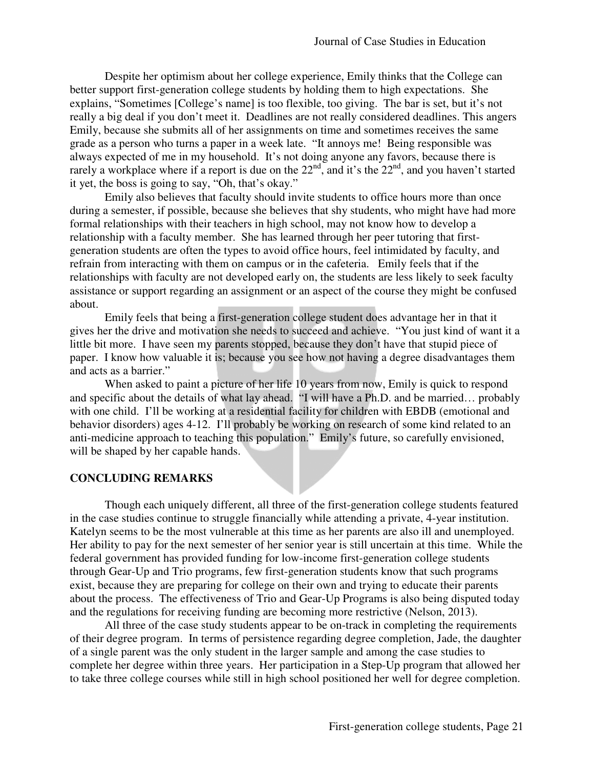Despite her optimism about her college experience, Emily thinks that the College can better support first-generation college students by holding them to high expectations. She explains, "Sometimes [College's name] is too flexible, too giving. The bar is set, but it's not really a big deal if you don't meet it. Deadlines are not really considered deadlines. This angers Emily, because she submits all of her assignments on time and sometimes receives the same grade as a person who turns a paper in a week late. "It annoys me! Being responsible was always expected of me in my household. It's not doing anyone any favors, because there is rarely a workplace where if a report is due on the  $22<sup>nd</sup>$ , and it's the  $22<sup>nd</sup>$ , and you haven't started it yet, the boss is going to say, "Oh, that's okay."

 Emily also believes that faculty should invite students to office hours more than once during a semester, if possible, because she believes that shy students, who might have had more formal relationships with their teachers in high school, may not know how to develop a relationship with a faculty member. She has learned through her peer tutoring that firstgeneration students are often the types to avoid office hours, feel intimidated by faculty, and refrain from interacting with them on campus or in the cafeteria. Emily feels that if the relationships with faculty are not developed early on, the students are less likely to seek faculty assistance or support regarding an assignment or an aspect of the course they might be confused about.

 Emily feels that being a first-generation college student does advantage her in that it gives her the drive and motivation she needs to succeed and achieve. "You just kind of want it a little bit more. I have seen my parents stopped, because they don't have that stupid piece of paper. I know how valuable it is; because you see how not having a degree disadvantages them and acts as a barrier."

When asked to paint a picture of her life 10 years from now, Emily is quick to respond and specific about the details of what lay ahead. "I will have a Ph.D. and be married… probably with one child. I'll be working at a residential facility for children with EBDB (emotional and behavior disorders) ages 4-12. I'll probably be working on research of some kind related to an anti-medicine approach to teaching this population." Emily's future, so carefully envisioned, will be shaped by her capable hands.

#### **CONCLUDING REMARKS**

Though each uniquely different, all three of the first-generation college students featured in the case studies continue to struggle financially while attending a private, 4-year institution. Katelyn seems to be the most vulnerable at this time as her parents are also ill and unemployed. Her ability to pay for the next semester of her senior year is still uncertain at this time. While the federal government has provided funding for low-income first-generation college students through Gear-Up and Trio programs, few first-generation students know that such programs exist, because they are preparing for college on their own and trying to educate their parents about the process. The effectiveness of Trio and Gear-Up Programs is also being disputed today and the regulations for receiving funding are becoming more restrictive (Nelson, 2013).

 All three of the case study students appear to be on-track in completing the requirements of their degree program. In terms of persistence regarding degree completion, Jade, the daughter of a single parent was the only student in the larger sample and among the case studies to complete her degree within three years. Her participation in a Step-Up program that allowed her to take three college courses while still in high school positioned her well for degree completion.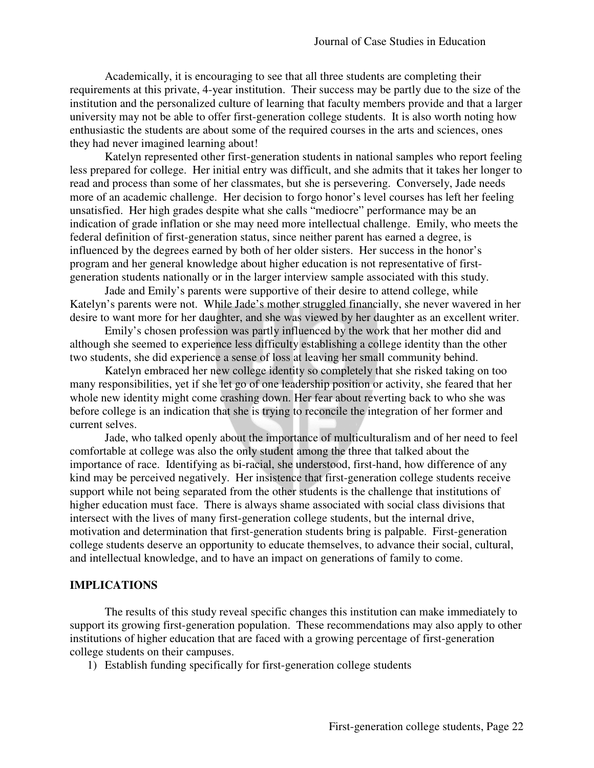Academically, it is encouraging to see that all three students are completing their requirements at this private, 4-year institution. Their success may be partly due to the size of the institution and the personalized culture of learning that faculty members provide and that a larger university may not be able to offer first-generation college students. It is also worth noting how enthusiastic the students are about some of the required courses in the arts and sciences, ones they had never imagined learning about!

 Katelyn represented other first-generation students in national samples who report feeling less prepared for college. Her initial entry was difficult, and she admits that it takes her longer to read and process than some of her classmates, but she is persevering. Conversely, Jade needs more of an academic challenge. Her decision to forgo honor's level courses has left her feeling unsatisfied. Her high grades despite what she calls "mediocre" performance may be an indication of grade inflation or she may need more intellectual challenge. Emily, who meets the federal definition of first-generation status, since neither parent has earned a degree, is influenced by the degrees earned by both of her older sisters. Her success in the honor's program and her general knowledge about higher education is not representative of firstgeneration students nationally or in the larger interview sample associated with this study.

 Jade and Emily's parents were supportive of their desire to attend college, while Katelyn's parents were not. While Jade's mother struggled financially, she never wavered in her desire to want more for her daughter, and she was viewed by her daughter as an excellent writer.

 Emily's chosen profession was partly influenced by the work that her mother did and although she seemed to experience less difficulty establishing a college identity than the other two students, she did experience a sense of loss at leaving her small community behind.

 Katelyn embraced her new college identity so completely that she risked taking on too many responsibilities, yet if she let go of one leadership position or activity, she feared that her whole new identity might come crashing down. Her fear about reverting back to who she was before college is an indication that she is trying to reconcile the integration of her former and current selves.

 Jade, who talked openly about the importance of multiculturalism and of her need to feel comfortable at college was also the only student among the three that talked about the importance of race. Identifying as bi-racial, she understood, first-hand, how difference of any kind may be perceived negatively. Her insistence that first-generation college students receive support while not being separated from the other students is the challenge that institutions of higher education must face. There is always shame associated with social class divisions that intersect with the lives of many first-generation college students, but the internal drive, motivation and determination that first-generation students bring is palpable. First-generation college students deserve an opportunity to educate themselves, to advance their social, cultural, and intellectual knowledge, and to have an impact on generations of family to come.

#### **IMPLICATIONS**

 The results of this study reveal specific changes this institution can make immediately to support its growing first-generation population. These recommendations may also apply to other institutions of higher education that are faced with a growing percentage of first-generation college students on their campuses.

1) Establish funding specifically for first-generation college students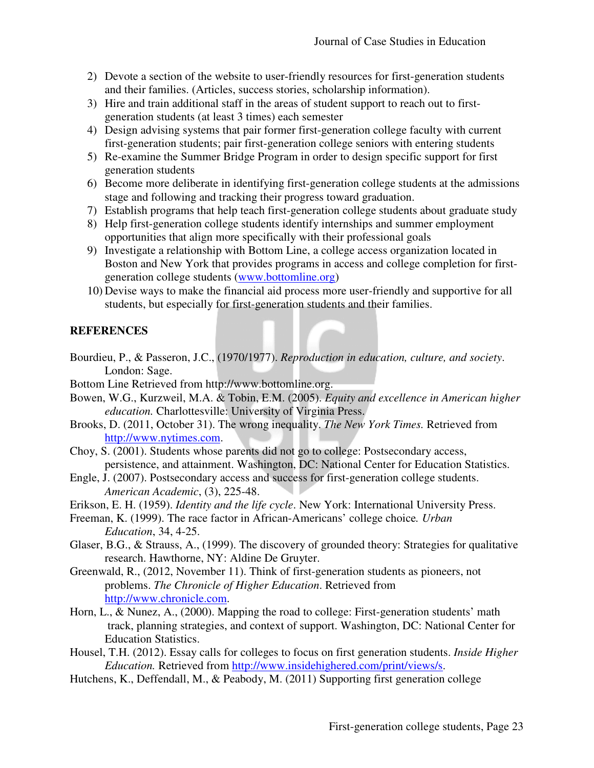- 2) Devote a section of the website to user-friendly resources for first-generation students and their families. (Articles, success stories, scholarship information).
- 3) Hire and train additional staff in the areas of student support to reach out to firstgeneration students (at least 3 times) each semester
- 4) Design advising systems that pair former first-generation college faculty with current first-generation students; pair first-generation college seniors with entering students
- 5) Re-examine the Summer Bridge Program in order to design specific support for first generation students
- 6) Become more deliberate in identifying first-generation college students at the admissions stage and following and tracking their progress toward graduation.
- 7) Establish programs that help teach first-generation college students about graduate study
- 8) Help first-generation college students identify internships and summer employment opportunities that align more specifically with their professional goals
- 9) Investigate a relationship with Bottom Line, a college access organization located in Boston and New York that provides programs in access and college completion for firstgeneration college students (www.bottomline.org)
- 10) Devise ways to make the financial aid process more user-friendly and supportive for all students, but especially for first-generation students and their families.

# **REFERENCES**

- Bourdieu, P., & Passeron, J.C., (1970/1977). *Reproduction in education, culture, and society*. London: Sage.
- Bottom Line Retrieved from http://www.bottomline.org.
- Bowen, W.G., Kurzweil, M.A. & Tobin, E.M. (2005). *Equity and excellence in American higher education.* Charlottesville: University of Virginia Press.
- Brooks, D. (2011, October 31). The wrong inequality. *The New York Times.* Retrieved from http://www.nytimes.com.
- Choy, S. (2001). Students whose parents did not go to college: Postsecondary access, persistence, and attainment. Washington, DC: National Center for Education Statistics.
- Engle, J. (2007). Postsecondary access and success for first-generation college students. *American Academic*, (3), 225-48.
- Erikson, E. H. (1959). *Identity and the life cycle*. New York: International University Press.
- Freeman, K. (1999). The race factor in African-Americans' college choice*. Urban Education*, 34, 4-25.
- Glaser, B.G., & Strauss, A., (1999). The discovery of grounded theory: Strategies for qualitative research. Hawthorne, NY: Aldine De Gruyter.
- Greenwald, R., (2012, November 11). Think of first-generation students as pioneers, not problems. *The Chronicle of Higher Education*. Retrieved from http://www.chronicle.com.
- Horn, L., & Nunez, A., (2000). Mapping the road to college: First-generation students' math track, planning strategies, and context of support. Washington, DC: National Center for Education Statistics.
- Housel, T.H. (2012). Essay calls for colleges to focus on first generation students. *Inside Higher Education.* Retrieved from http://www.insidehighered.com/print/views/s.
- Hutchens, K., Deffendall, M., & Peabody, M. (2011) Supporting first generation college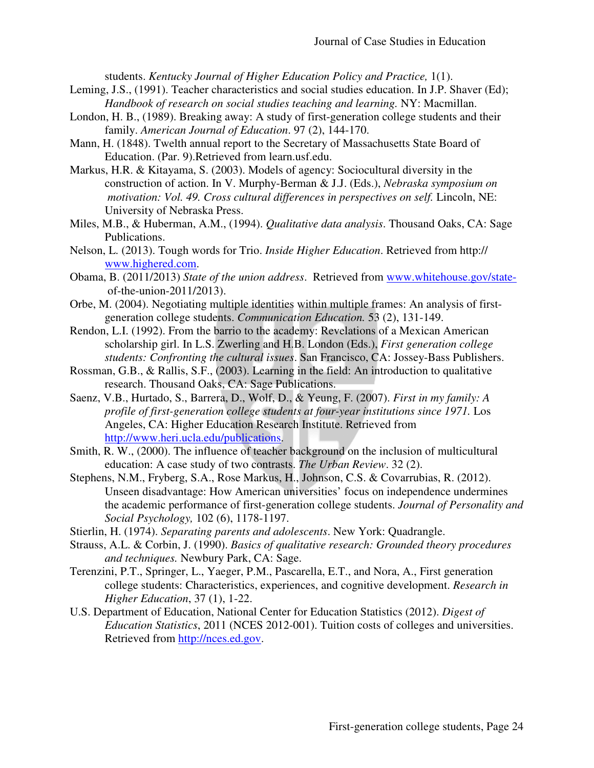students. *Kentucky Journal of Higher Education Policy and Practice,* 1(1).

- Leming, J.S., (1991). Teacher characteristics and social studies education. In J.P. Shaver (Ed); *Handbook of research on social studies teaching and learning.* NY: Macmillan.
- London, H. B., (1989). Breaking away: A study of first-generation college students and their family. *American Journal of Education*. 97 (2), 144-170.
- Mann, H. (1848). Twelth annual report to the Secretary of Massachusetts State Board of Education. (Par. 9).Retrieved from learn.usf.edu.
- Markus, H.R. & Kitayama, S. (2003). Models of agency: Sociocultural diversity in the construction of action. In V. Murphy-Berman & J.J. (Eds.), *Nebraska symposium on motivation: Vol. 49. Cross cultural differences in perspectives on self. Lincoln, NE:* University of Nebraska Press.
- Miles, M.B., & Huberman, A.M., (1994). *Qualitative data analysis*. Thousand Oaks, CA: Sage Publications.
- Nelson, L. (2013). Tough words for Trio. *Inside Higher Education*. Retrieved from http:// www.highered.com.
- Obama, B. (2011/2013) *State of the union address*. Retrieved from www.whitehouse.gov/state of-the-union-2011/2013).
- Orbe, M. (2004). Negotiating multiple identities within multiple frames: An analysis of first generation college students. *Communication Education.* 53 (2), 131-149.
- Rendon, L.I. (1992). From the barrio to the academy: Revelations of a Mexican American scholarship girl. In L.S. Zwerling and H.B. London (Eds.), *First generation college students: Confronting the cultural issues*. San Francisco, CA: Jossey-Bass Publishers.
- Rossman, G.B., & Rallis, S.F., (2003). Learning in the field: An introduction to qualitative research. Thousand Oaks, CA: Sage Publications.
- Saenz, V.B., Hurtado, S., Barrera, D., Wolf, D., & Yeung, F. (2007). *First in my family: A profile of first-generation college students at four-year institutions since 1971.* Los Angeles, CA: Higher Education Research Institute. Retrieved from http://www.heri.ucla.edu/publications.
- Smith, R. W., (2000). The influence of teacher background on the inclusion of multicultural education: A case study of two contrasts. *The Urban Review*. 32 (2).
- Stephens, N.M., Fryberg, S.A., Rose Markus, H., Johnson, C.S. & Covarrubias, R. (2012). Unseen disadvantage: How American universities' focus on independence undermines the academic performance of first-generation college students. *Journal of Personality and Social Psychology,* 102 (6), 1178-1197.
- Stierlin, H. (1974). *Separating parents and adolescents*. New York: Quadrangle.
- Strauss, A.L. & Corbin, J. (1990). *Basics of qualitative research: Grounded theory procedures and techniques.* Newbury Park, CA: Sage.
- Terenzini, P.T., Springer, L., Yaeger, P.M., Pascarella, E.T., and Nora, A., First generation college students: Characteristics, experiences, and cognitive development. *Research in Higher Education*, 37 (1), 1-22.
- U.S. Department of Education, National Center for Education Statistics (2012). *Digest of Education Statistics*, 2011 (NCES 2012-001). Tuition costs of colleges and universities. Retrieved from http://nces.ed.gov.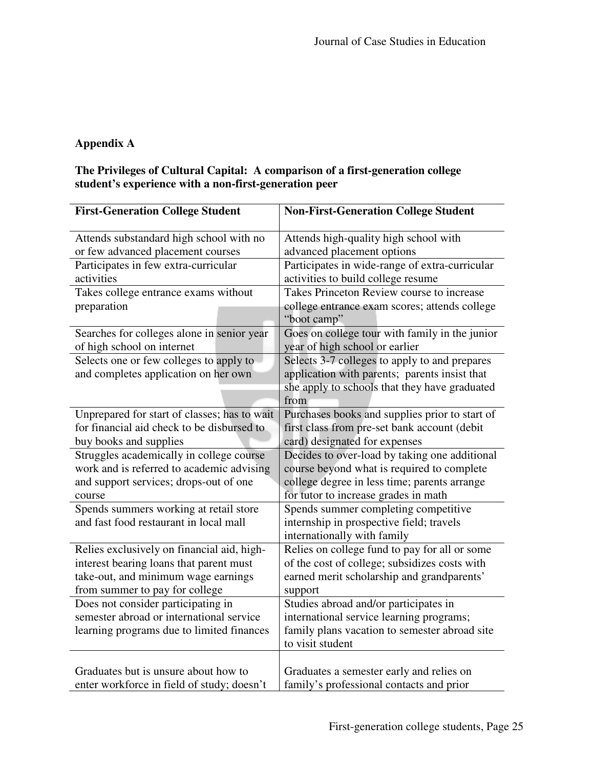# **Appendix A**

# **The Privileges of Cultural Capital: A comparison of a first-generation college student's experience with a non-first-generation peer**

| <b>First-Generation College Student</b>      | <b>Non-First-Generation College Student</b>                  |  |
|----------------------------------------------|--------------------------------------------------------------|--|
| Attends substandard high school with no      | Attends high-quality high school with                        |  |
| or few advanced placement courses            | advanced placement options                                   |  |
| Participates in few extra-curricular         | Participates in wide-range of extra-curricular               |  |
| activities                                   | activities to build college resume                           |  |
| Takes college entrance exams without         | Takes Princeton Review course to increase                    |  |
| preparation                                  | college entrance exam scores; attends college<br>"boot camp" |  |
| Searches for colleges alone in senior year   | Goes on college tour with family in the junior               |  |
| of high school on internet                   | year of high school or earlier                               |  |
| Selects one or few colleges to apply to      | Selects 3-7 colleges to apply to and prepares                |  |
| and completes application on her own         | application with parents; parents insist that                |  |
|                                              | she apply to schools that they have graduated                |  |
|                                              | from                                                         |  |
| Unprepared for start of classes; has to wait | Purchases books and supplies prior to start of               |  |
| for financial aid check to be disbursed to   | first class from pre-set bank account (debit                 |  |
| buy books and supplies                       | card) designated for expenses                                |  |
| Struggles academically in college course     | Decides to over-load by taking one additional                |  |
| work and is referred to academic advising    | course beyond what is required to complete                   |  |
| and support services; drops-out of one       | college degree in less time; parents arrange                 |  |
| course                                       | for tutor to increase grades in math                         |  |
| Spends summers working at retail store       | Spends summer completing competitive                         |  |
| and fast food restaurant in local mall       | internship in prospective field; travels                     |  |
|                                              | internationally with family                                  |  |
| Relies exclusively on financial aid, high-   | Relies on college fund to pay for all or some                |  |
| interest bearing loans that parent must      | of the cost of college; subsidizes costs with                |  |
| take-out, and minimum wage earnings          | earned merit scholarship and grandparents'                   |  |
| from summer to pay for college               | support                                                      |  |
| Does not consider participating in           | Studies abroad and/or participates in                        |  |
| semester abroad or international service     | international service learning programs;                     |  |
| learning programs due to limited finances    | family plans vacation to semester abroad site                |  |
|                                              | to visit student                                             |  |
|                                              |                                                              |  |
| Graduates but is unsure about how to         | Graduates a semester early and relies on                     |  |
| enter workforce in field of study; doesn't   | family's professional contacts and prior                     |  |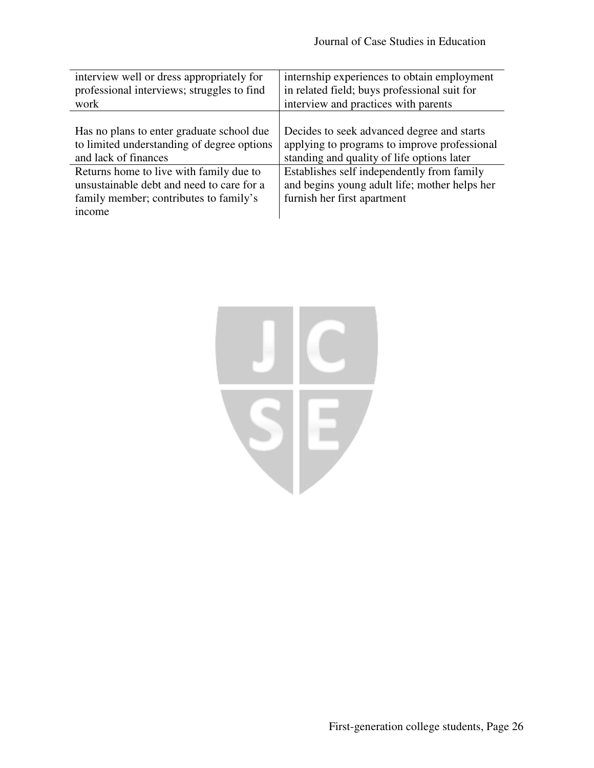| interview well or dress appropriately for                                                                                                | internship experiences to obtain employment                                                                                |
|------------------------------------------------------------------------------------------------------------------------------------------|----------------------------------------------------------------------------------------------------------------------------|
| professional interviews; struggles to find                                                                                               | in related field; buys professional suit for                                                                               |
| work                                                                                                                                     | interview and practices with parents                                                                                       |
| Has no plans to enter graduate school due                                                                                                | Decides to seek advanced degree and starts                                                                                 |
| to limited understanding of degree options                                                                                               | applying to programs to improve professional                                                                               |
| and lack of finances                                                                                                                     | standing and quality of life options later                                                                                 |
| Returns home to live with family due to<br>unsustainable debt and need to care for a<br>family member; contributes to family's<br>income | Establishes self independently from family<br>and begins young adult life; mother helps her<br>furnish her first apartment |

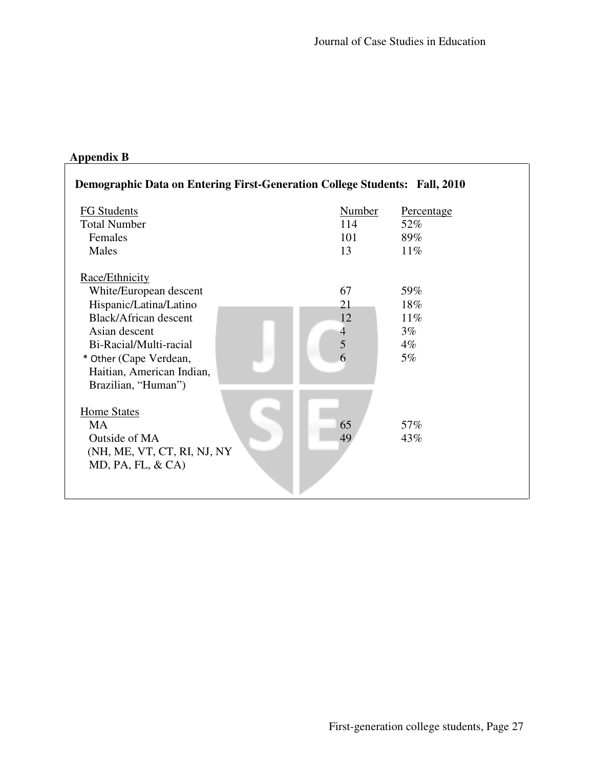# **Appendix B**

| <b>Demographic Data on Entering First-Generation College Students: Fall, 2010</b>                                                                                                                                           |                                   |                                                 |  |
|-----------------------------------------------------------------------------------------------------------------------------------------------------------------------------------------------------------------------------|-----------------------------------|-------------------------------------------------|--|
| <b>FG Students</b><br><b>Total Number</b><br>Females<br>Males                                                                                                                                                               | <b>Number</b><br>114<br>101<br>13 | <b>Percentage</b><br>52%<br>89%<br>11%          |  |
| Race/Ethnicity<br>White/European descent<br>Hispanic/Latina/Latino<br><b>Black/African descent</b><br>Asian descent<br>Bi-Racial/Multi-racial<br>* Other (Cape Verdean,<br>Haitian, American Indian,<br>Brazilian, "Human") | 67<br>21<br>12<br>4<br>5<br>6     | 59%<br>18%<br>$11\%$<br>$3\%$<br>$4\%$<br>$5\%$ |  |
| <b>Home States</b><br><b>MA</b><br>Outside of MA<br>(NH, ME, VT, CT, RI, NJ, NY<br>$MD$ , PA, FL, $\&$ CA)                                                                                                                  | 65<br>49                          | 57%<br>43%                                      |  |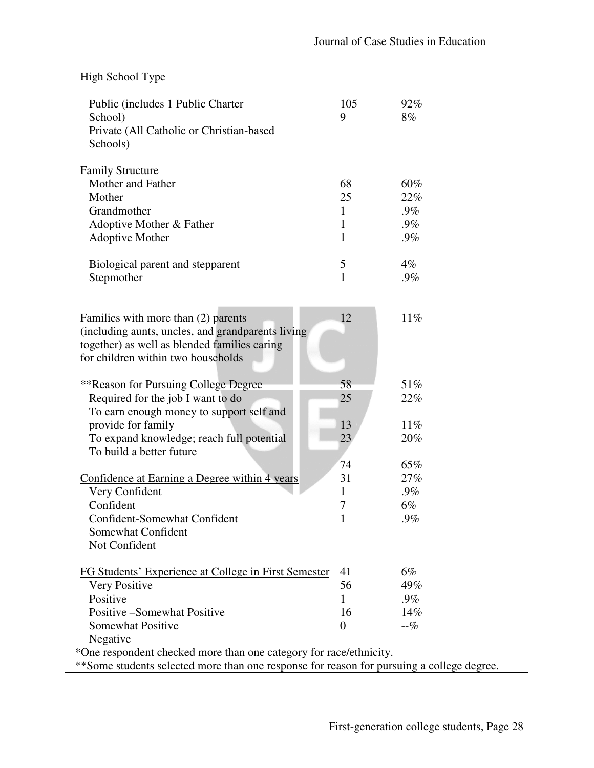| <b>High School Type</b>                                                                   |              |           |  |
|-------------------------------------------------------------------------------------------|--------------|-----------|--|
| Public (includes 1 Public Charter<br>School)                                              | 105<br>9     | 92%<br>8% |  |
| Private (All Catholic or Christian-based<br>Schools)                                      |              |           |  |
| <b>Family Structure</b>                                                                   |              |           |  |
| Mother and Father                                                                         | 68           | 60%       |  |
| Mother                                                                                    | 25           | 22%       |  |
| Grandmother                                                                               | 1            | $.9\%$    |  |
| Adoptive Mother & Father                                                                  | $\mathbf 1$  | $.9\%$    |  |
| Adoptive Mother                                                                           | $\mathbf{1}$ | $.9\%$    |  |
| Biological parent and stepparent                                                          | 5            | $4\%$     |  |
| Stepmother                                                                                | $\mathbf{1}$ | $.9\%$    |  |
|                                                                                           |              |           |  |
| Families with more than (2) parents                                                       | 12           | 11%       |  |
| (including aunts, uncles, and grandparents living)                                        |              |           |  |
| together) as well as blended families caring                                              |              |           |  |
| for children within two households                                                        |              |           |  |
| <b>**Reason for Pursuing College Degree</b>                                               | 58           | 51%       |  |
| Required for the job I want to do                                                         | 25           | 22%       |  |
| To earn enough money to support self and                                                  |              |           |  |
| provide for family                                                                        | 13           | 11%       |  |
| To expand knowledge; reach full potential                                                 | 23           | 20%       |  |
| To build a better future                                                                  |              |           |  |
|                                                                                           | 74           | 65%       |  |
| Confidence at Earning a Degree within 4 years                                             | 31           | 27%       |  |
| Very Confident                                                                            | 1            | $.9\%$    |  |
| Confident                                                                                 |              | 6%        |  |
| Confident-Somewhat Confident                                                              |              | .9%       |  |
| Somewhat Confident                                                                        |              |           |  |
| Not Confident                                                                             |              |           |  |
| FG Students' Experience at College in First Semester                                      | 41           | $6\%$     |  |
| Very Positive                                                                             | 56           | 49%       |  |
| Positive                                                                                  | 1            | $.9\%$    |  |
| Positive - Somewhat Positive                                                              | 16           | 14%       |  |
| Somewhat Positive                                                                         | 0            | $-$ %     |  |
| Negative                                                                                  |              |           |  |
| *One respondent checked more than one category for race/ethnicity.                        |              |           |  |
| **Some students selected more than one response for reason for pursuing a college degree. |              |           |  |
|                                                                                           |              |           |  |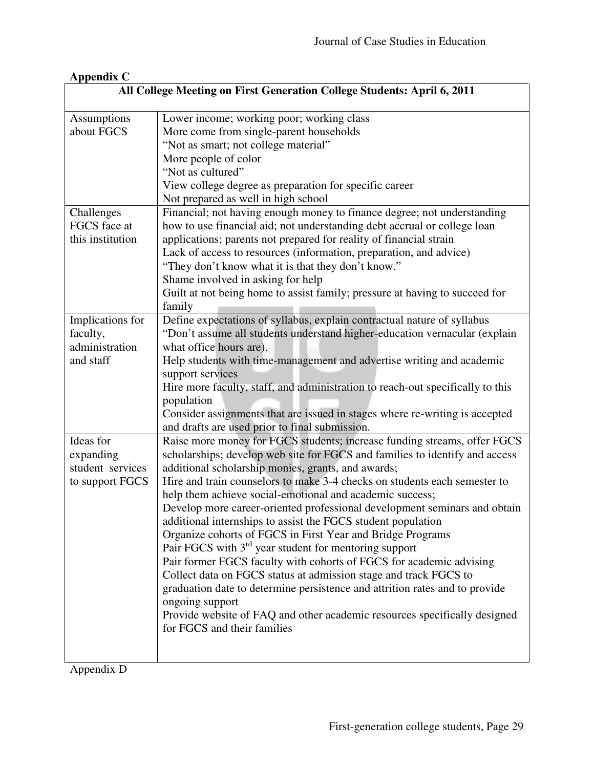| <b>Appendix C</b>                                                       |                                                                                |  |
|-------------------------------------------------------------------------|--------------------------------------------------------------------------------|--|
| All College Meeting on First Generation College Students: April 6, 2011 |                                                                                |  |
| Assumptions                                                             | Lower income; working poor; working class                                      |  |
| about FGCS                                                              | More come from single-parent households                                        |  |
|                                                                         | "Not as smart; not college material"                                           |  |
|                                                                         | More people of color                                                           |  |
|                                                                         | "Not as cultured"                                                              |  |
|                                                                         | View college degree as preparation for specific career                         |  |
|                                                                         | Not prepared as well in high school                                            |  |
| Challenges                                                              | Financial; not having enough money to finance degree; not understanding        |  |
| FGCS face at                                                            | how to use financial aid; not understanding debt accrual or college loan       |  |
| this institution                                                        | applications; parents not prepared for reality of financial strain             |  |
|                                                                         |                                                                                |  |
|                                                                         | Lack of access to resources (information, preparation, and advice)             |  |
|                                                                         | "They don't know what it is that they don't know."                             |  |
|                                                                         | Shame involved in asking for help                                              |  |
|                                                                         | Guilt at not being home to assist family; pressure at having to succeed for    |  |
|                                                                         | family                                                                         |  |
| Implications for                                                        | Define expectations of syllabus, explain contractual nature of syllabus        |  |
| faculty,                                                                | "Don't assume all students understand higher-education vernacular (explain     |  |
| administration                                                          | what office hours are).                                                        |  |
| and staff                                                               | Help students with time-management and advertise writing and academic          |  |
|                                                                         | support services                                                               |  |
|                                                                         | Hire more faculty, staff, and administration to reach-out specifically to this |  |
|                                                                         | population                                                                     |  |
|                                                                         | Consider assignments that are issued in stages where re-writing is accepted    |  |
|                                                                         | and drafts are used prior to final submission.                                 |  |
| Ideas for                                                               | Raise more money for FGCS students; increase funding streams, offer FGCS       |  |
| expanding                                                               | scholarships; develop web site for FGCS and families to identify and access    |  |
| student services                                                        | additional scholarship monies, grants, and awards;                             |  |
| to support FGCS                                                         | Hire and train counselors to make 3-4 checks on students each semester to      |  |
|                                                                         | help them achieve social-emotional and academic success;                       |  |
|                                                                         | Develop more career-oriented professional development seminars and obtain      |  |
|                                                                         | additional internships to assist the FGCS student population                   |  |
|                                                                         | Organize cohorts of FGCS in First Year and Bridge Programs                     |  |
|                                                                         | Pair FGCS with $3rd$ year student for mentoring support                        |  |
|                                                                         | Pair former FGCS faculty with cohorts of FGCS for academic advising            |  |
|                                                                         | Collect data on FGCS status at admission stage and track FGCS to               |  |
|                                                                         | graduation date to determine persistence and attrition rates and to provide    |  |
|                                                                         | ongoing support                                                                |  |
|                                                                         | Provide website of FAQ and other academic resources specifically designed      |  |
|                                                                         | for FGCS and their families                                                    |  |
|                                                                         |                                                                                |  |
|                                                                         |                                                                                |  |
|                                                                         |                                                                                |  |

Appendix D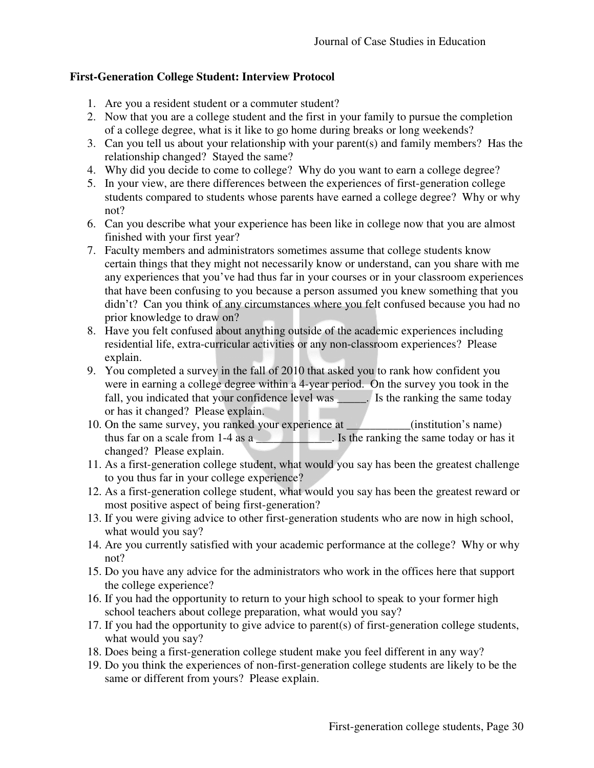# **First-Generation College Student: Interview Protocol**

- 1. Are you a resident student or a commuter student?
- 2. Now that you are a college student and the first in your family to pursue the completion of a college degree, what is it like to go home during breaks or long weekends?
- 3. Can you tell us about your relationship with your parent(s) and family members? Has the relationship changed? Stayed the same?
- 4. Why did you decide to come to college? Why do you want to earn a college degree?
- 5. In your view, are there differences between the experiences of first-generation college students compared to students whose parents have earned a college degree? Why or why not?
- 6. Can you describe what your experience has been like in college now that you are almost finished with your first year?
- 7. Faculty members and administrators sometimes assume that college students know certain things that they might not necessarily know or understand, can you share with me any experiences that you've had thus far in your courses or in your classroom experiences that have been confusing to you because a person assumed you knew something that you didn't? Can you think of any circumstances where you felt confused because you had no prior knowledge to draw on?
- 8. Have you felt confused about anything outside of the academic experiences including residential life, extra-curricular activities or any non-classroom experiences? Please explain.
- 9. You completed a survey in the fall of 2010 that asked you to rank how confident you were in earning a college degree within a 4-year period. On the survey you took in the fall, you indicated that your confidence level was \_\_\_\_\_. Is the ranking the same today or has it changed? Please explain.
- 10. On the same survey, you ranked your experience at \_\_\_\_\_\_\_\_\_\_\_(institution's name) thus far on a scale from 1-4 as a \_\_\_\_\_\_\_\_\_\_\_\_. Is the ranking the same today or has it changed? Please explain.
- 11. As a first-generation college student, what would you say has been the greatest challenge to you thus far in your college experience?
- 12. As a first-generation college student, what would you say has been the greatest reward or most positive aspect of being first-generation?
- 13. If you were giving advice to other first-generation students who are now in high school, what would you say?
- 14. Are you currently satisfied with your academic performance at the college? Why or why not?
- 15. Do you have any advice for the administrators who work in the offices here that support the college experience?
- 16. If you had the opportunity to return to your high school to speak to your former high school teachers about college preparation, what would you say?
- 17. If you had the opportunity to give advice to parent(s) of first-generation college students, what would you say?
- 18. Does being a first-generation college student make you feel different in any way?
- 19. Do you think the experiences of non-first-generation college students are likely to be the same or different from yours? Please explain.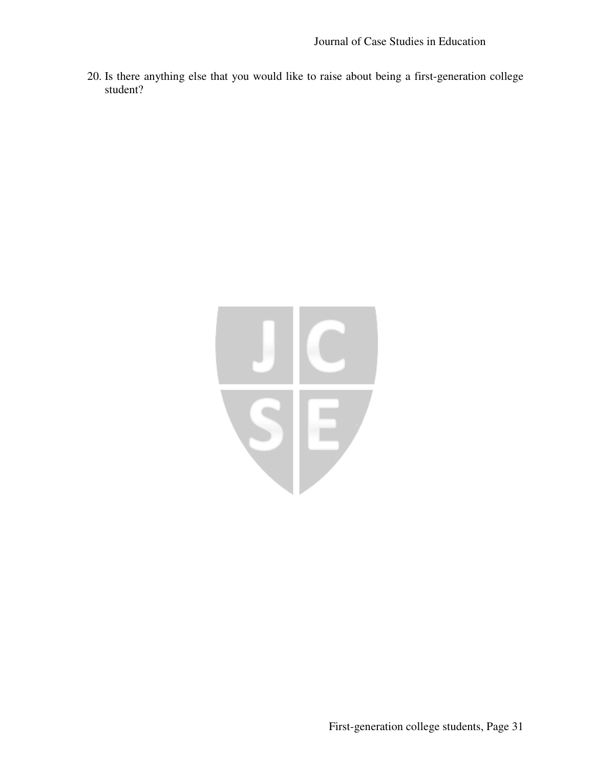20. Is there anything else that you would like to raise about being a first-generation college student?